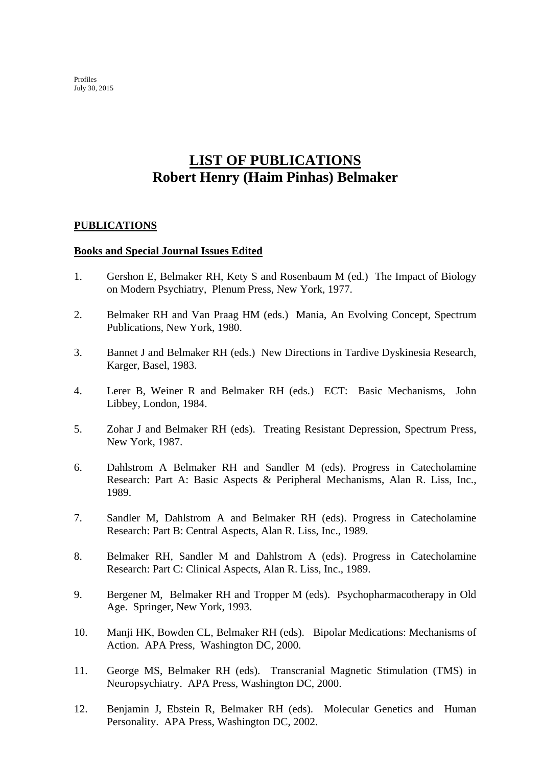Profiles July 30, 2015

# **LIST OF PUBLICATIONS Robert Henry (Haim Pinhas) Belmaker**

### **PUBLICATIONS**

#### **Books and Special Journal Issues Edited**

- 1. Gershon E, Belmaker RH, Kety S and Rosenbaum M (ed.) The Impact of Biology on Modern Psychiatry, Plenum Press, New York, 1977.
- 2. Belmaker RH and Van Praag HM (eds.) Mania, An Evolving Concept, Spectrum Publications, New York, 1980.
- 3. Bannet J and Belmaker RH (eds.) New Directions in Tardive Dyskinesia Research, Karger, Basel, 1983.
- 4. Lerer B, Weiner R and Belmaker RH (eds.) ECT: Basic Mechanisms, John Libbey, London, 1984.
- 5. Zohar J and Belmaker RH (eds). Treating Resistant Depression, Spectrum Press, New York, 1987.
- 6. Dahlstrom A Belmaker RH and Sandler M (eds). Progress in Catecholamine Research: Part A: Basic Aspects & Peripheral Mechanisms, Alan R. Liss, Inc., 1989.
- 7. Sandler M, Dahlstrom A and Belmaker RH (eds). Progress in Catecholamine Research: Part B: Central Aspects, Alan R. Liss, Inc., 1989.
- 8. Belmaker RH, Sandler M and Dahlstrom A (eds). Progress in Catecholamine Research: Part C: Clinical Aspects, Alan R. Liss, Inc., 1989.
- 9. Bergener M, Belmaker RH and Tropper M (eds). Psychopharmacotherapy in Old Age. Springer, New York, 1993.
- 10. Manji HK, Bowden CL, Belmaker RH (eds). Bipolar Medications: Mechanisms of Action. APA Press, Washington DC, 2000.
- 11. George MS, Belmaker RH (eds). Transcranial Magnetic Stimulation (TMS) in Neuropsychiatry. APA Press, Washington DC, 2000.
- 12. Benjamin J, Ebstein R, Belmaker RH (eds). Molecular Genetics and Human Personality. APA Press, Washington DC, 2002.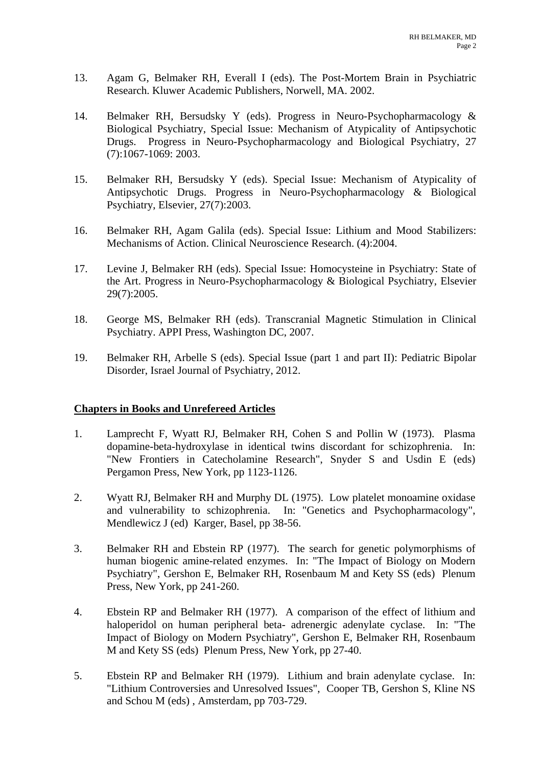- 13. Agam G, Belmaker RH, Everall I (eds). The Post-Mortem Brain in Psychiatric Research. Kluwer Academic Publishers, Norwell, MA. 2002.
- 14. Belmaker RH, Bersudsky Y (eds). Progress in Neuro-Psychopharmacology & Biological Psychiatry, Special Issue: Mechanism of Atypicality of Antipsychotic Drugs. Progress in Neuro-Psychopharmacology and Biological Psychiatry, 27 (7):1067-1069: 2003.
- 15. Belmaker RH, Bersudsky Y (eds). Special Issue: Mechanism of Atypicality of Antipsychotic Drugs. Progress in Neuro-Psychopharmacology & Biological Psychiatry, Elsevier, 27(7):2003.
- 16. Belmaker RH, Agam Galila (eds). Special Issue: Lithium and Mood Stabilizers: Mechanisms of Action. Clinical Neuroscience Research. (4):2004.
- 17. Levine J, Belmaker RH (eds). Special Issue: Homocysteine in Psychiatry: State of the Art. Progress in Neuro-Psychopharmacology & Biological Psychiatry, Elsevier 29(7):2005.
- 18. George MS, Belmaker RH (eds). Transcranial Magnetic Stimulation in Clinical Psychiatry. APPI Press, Washington DC, 2007.
- 19. Belmaker RH, Arbelle S (eds). Special Issue (part 1 and part II): Pediatric Bipolar Disorder, Israel Journal of Psychiatry, 2012.

### **Chapters in Books and Unrefereed Articles**

- 1. Lamprecht F, Wyatt RJ, Belmaker RH, Cohen S and Pollin W (1973). Plasma dopamine-beta-hydroxylase in identical twins discordant for schizophrenia. In: "New Frontiers in Catecholamine Research", Snyder S and Usdin E (eds) Pergamon Press, New York, pp 1123-1126.
- 2. Wyatt RJ, Belmaker RH and Murphy DL (1975). Low platelet monoamine oxidase and vulnerability to schizophrenia. In: "Genetics and Psychopharmacology", Mendlewicz J (ed) Karger, Basel, pp 38-56.
- 3. Belmaker RH and Ebstein RP (1977). The search for genetic polymorphisms of human biogenic amine-related enzymes. In: "The Impact of Biology on Modern Psychiatry", Gershon E, Belmaker RH, Rosenbaum M and Kety SS (eds) Plenum Press, New York, pp 241-260.
- 4. Ebstein RP and Belmaker RH (1977). A comparison of the effect of lithium and haloperidol on human peripheral beta- adrenergic adenylate cyclase. In: "The Impact of Biology on Modern Psychiatry", Gershon E, Belmaker RH, Rosenbaum M and Kety SS (eds) Plenum Press, New York, pp 27-40.
- 5. Ebstein RP and Belmaker RH (1979). Lithium and brain adenylate cyclase. In: "Lithium Controversies and Unresolved Issues", Cooper TB, Gershon S, Kline NS and Schou M (eds) , Amsterdam, pp 703-729.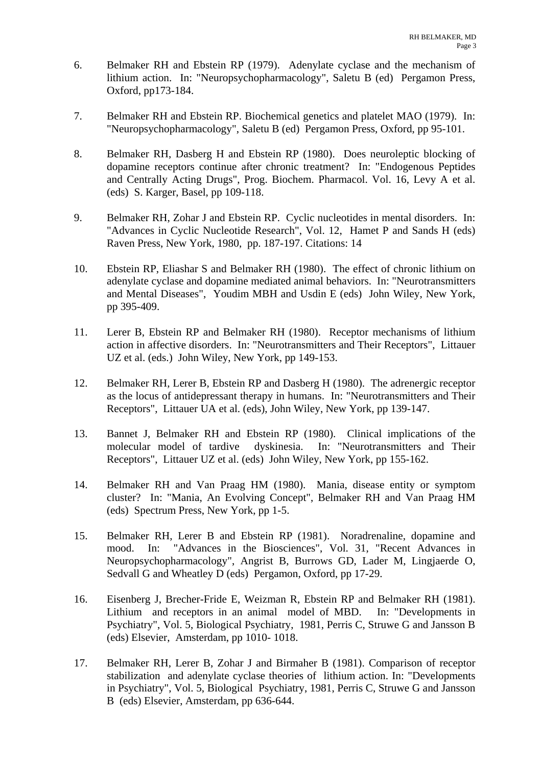- 6. Belmaker RH and Ebstein RP (1979). Adenylate cyclase and the mechanism of lithium action. In: "Neuropsychopharmacology", Saletu B (ed) Pergamon Press, Oxford, pp173-184.
- 7. Belmaker RH and Ebstein RP. Biochemical genetics and platelet MAO (1979). In: "Neuropsychopharmacology", Saletu B (ed) Pergamon Press, Oxford, pp 95-101.
- 8. Belmaker RH, Dasberg H and Ebstein RP (1980). Does neuroleptic blocking of dopamine receptors continue after chronic treatment? In: "Endogenous Peptides and Centrally Acting Drugs", Prog. Biochem. Pharmacol. Vol. 16, Levy A et al. (eds) S. Karger, Basel, pp 109-118.
- 9. Belmaker RH, Zohar J and Ebstein RP. Cyclic nucleotides in mental disorders. In: "Advances in Cyclic Nucleotide Research", Vol. 12, Hamet P and Sands H (eds) Raven Press, New York, 1980, pp. 187-197. Citations: 14
- 10. Ebstein RP, Eliashar S and Belmaker RH (1980). The effect of chronic lithium on adenylate cyclase and dopamine mediated animal behaviors. In: "Neurotransmitters and Mental Diseases", Youdim MBH and Usdin E (eds) John Wiley, New York, pp 395-409.
- 11. Lerer B, Ebstein RP and Belmaker RH (1980). Receptor mechanisms of lithium action in affective disorders. In: "Neurotransmitters and Their Receptors", Littauer UZ et al. (eds.) John Wiley, New York, pp 149-153.
- 12. Belmaker RH, Lerer B, Ebstein RP and Dasberg H (1980). The adrenergic receptor as the locus of antidepressant therapy in humans. In: "Neurotransmitters and Their Receptors", Littauer UA et al. (eds), John Wiley, New York, pp 139-147.
- 13. Bannet J, Belmaker RH and Ebstein RP (1980). Clinical implications of the molecular model of tardive dyskinesia. In: "Neurotransmitters and Their Receptors", Littauer UZ et al. (eds) John Wiley, New York, pp 155-162.
- 14. Belmaker RH and Van Praag HM (1980). Mania, disease entity or symptom cluster? In: "Mania, An Evolving Concept", Belmaker RH and Van Praag HM (eds) Spectrum Press, New York, pp 1-5.
- 15. Belmaker RH, Lerer B and Ebstein RP (1981). Noradrenaline, dopamine and mood. In: "Advances in the Biosciences", Vol. 31, "Recent Advances in Neuropsychopharmacology", Angrist B, Burrows GD, Lader M, Lingjaerde O, Sedvall G and Wheatley D (eds) Pergamon, Oxford, pp 17-29.
- 16. Eisenberg J, Brecher-Fride E, Weizman R, Ebstein RP and Belmaker RH (1981). Lithium and receptors in an animal model of MBD. In: "Developments in Psychiatry", Vol. 5, Biological Psychiatry, 1981, Perris C, Struwe G and Jansson B (eds) Elsevier, Amsterdam, pp 1010- 1018.
- 17. Belmaker RH, Lerer B, Zohar J and Birmaher B (1981). Comparison of receptor stabilization and adenylate cyclase theories of lithium action. In: "Developments in Psychiatry", Vol. 5, Biological Psychiatry, 1981, Perris C, Struwe G and Jansson B (eds) Elsevier, Amsterdam, pp 636-644.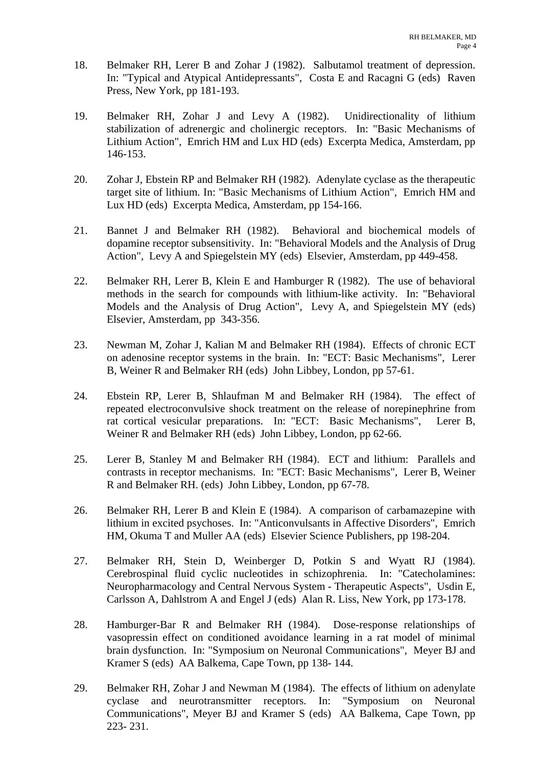- 18. Belmaker RH, Lerer B and Zohar J (1982). Salbutamol treatment of depression. In: "Typical and Atypical Antidepressants", Costa E and Racagni G (eds) Raven Press, New York, pp 181-193.
- 19. Belmaker RH, Zohar J and Levy A (1982). Unidirectionality of lithium stabilization of adrenergic and cholinergic receptors. In: "Basic Mechanisms of Lithium Action", Emrich HM and Lux HD (eds) Excerpta Medica, Amsterdam, pp 146-153.
- 20. Zohar J, Ebstein RP and Belmaker RH (1982). Adenylate cyclase as the therapeutic target site of lithium. In: "Basic Mechanisms of Lithium Action", Emrich HM and Lux HD (eds) Excerpta Medica, Amsterdam, pp 154-166.
- 21. Bannet J and Belmaker RH (1982). Behavioral and biochemical models of dopamine receptor subsensitivity. In: "Behavioral Models and the Analysis of Drug Action", Levy A and Spiegelstein MY (eds) Elsevier, Amsterdam, pp 449-458.
- 22. Belmaker RH, Lerer B, Klein E and Hamburger R (1982). The use of behavioral methods in the search for compounds with lithium-like activity. In: "Behavioral Models and the Analysis of Drug Action", Levy A, and Spiegelstein MY (eds) Elsevier, Amsterdam, pp 343-356.
- 23. Newman M, Zohar J, Kalian M and Belmaker RH (1984). Effects of chronic ECT on adenosine receptor systems in the brain. In: "ECT: Basic Mechanisms", Lerer B, Weiner R and Belmaker RH (eds) John Libbey, London, pp 57-61.
- 24. Ebstein RP, Lerer B, Shlaufman M and Belmaker RH (1984). The effect of repeated electroconvulsive shock treatment on the release of norepinephrine from rat cortical vesicular preparations. In: "ECT: Basic Mechanisms", Lerer B, Weiner R and Belmaker RH (eds) John Libbey, London, pp 62-66.
- 25. Lerer B, Stanley M and Belmaker RH (1984). ECT and lithium: Parallels and contrasts in receptor mechanisms. In: "ECT: Basic Mechanisms", Lerer B, Weiner R and Belmaker RH. (eds) John Libbey, London, pp 67-78.
- 26. Belmaker RH, Lerer B and Klein E (1984). A comparison of carbamazepine with lithium in excited psychoses. In: "Anticonvulsants in Affective Disorders", Emrich HM, Okuma T and Muller AA (eds) Elsevier Science Publishers, pp 198-204.
- 27. Belmaker RH, Stein D, Weinberger D, Potkin S and Wyatt RJ (1984). Cerebrospinal fluid cyclic nucleotides in schizophrenia. In: "Catecholamines: Neuropharmacology and Central Nervous System - Therapeutic Aspects", Usdin E, Carlsson A, Dahlstrom A and Engel J (eds) Alan R. Liss, New York, pp 173-178.
- 28. Hamburger-Bar R and Belmaker RH (1984). Dose-response relationships of vasopressin effect on conditioned avoidance learning in a rat model of minimal brain dysfunction. In: "Symposium on Neuronal Communications", Meyer BJ and Kramer S (eds) AA Balkema, Cape Town, pp 138- 144.
- 29. Belmaker RH, Zohar J and Newman M (1984). The effects of lithium on adenylate cyclase and neurotransmitter receptors. In: "Symposium on Neuronal Communications", Meyer BJ and Kramer S (eds) AA Balkema, Cape Town, pp 223- 231.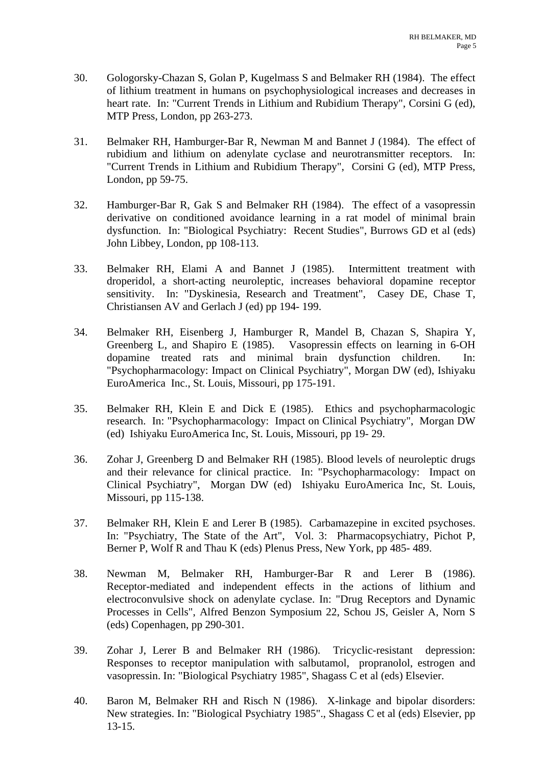- 30. Gologorsky-Chazan S, Golan P, Kugelmass S and Belmaker RH (1984). The effect of lithium treatment in humans on psychophysiological increases and decreases in heart rate. In: "Current Trends in Lithium and Rubidium Therapy", Corsini G (ed), MTP Press, London, pp 263-273.
- 31. Belmaker RH, Hamburger-Bar R, Newman M and Bannet J (1984). The effect of rubidium and lithium on adenylate cyclase and neurotransmitter receptors. In: "Current Trends in Lithium and Rubidium Therapy", Corsini G (ed), MTP Press, London, pp 59-75.
- 32. Hamburger-Bar R, Gak S and Belmaker RH (1984). The effect of a vasopressin derivative on conditioned avoidance learning in a rat model of minimal brain dysfunction. In: "Biological Psychiatry: Recent Studies", Burrows GD et al (eds) John Libbey, London, pp 108-113.
- 33. Belmaker RH, Elami A and Bannet J (1985). Intermittent treatment with droperidol, a short-acting neuroleptic, increases behavioral dopamine receptor sensitivity. In: "Dyskinesia, Research and Treatment", Casey DE, Chase T, Christiansen AV and Gerlach J (ed) pp 194- 199.
- 34. Belmaker RH, Eisenberg J, Hamburger R, Mandel B, Chazan S, Shapira Y, Greenberg L, and Shapiro E (1985). Vasopressin effects on learning in 6-OH dopamine treated rats and minimal brain dysfunction children. In: "Psychopharmacology: Impact on Clinical Psychiatry", Morgan DW (ed), Ishiyaku EuroAmerica Inc., St. Louis, Missouri, pp 175-191.
- 35. Belmaker RH, Klein E and Dick E (1985). Ethics and psychopharmacologic research. In: "Psychopharmacology: Impact on Clinical Psychiatry", Morgan DW (ed) Ishiyaku EuroAmerica Inc, St. Louis, Missouri, pp 19- 29.
- 36. Zohar J, Greenberg D and Belmaker RH (1985). Blood levels of neuroleptic drugs and their relevance for clinical practice. In: "Psychopharmacology: Impact on Clinical Psychiatry", Morgan DW (ed) Ishiyaku EuroAmerica Inc, St. Louis, Missouri, pp 115-138.
- 37. Belmaker RH, Klein E and Lerer B (1985). Carbamazepine in excited psychoses. In: "Psychiatry, The State of the Art", Vol. 3: Pharmacopsychiatry, Pichot P, Berner P, Wolf R and Thau K (eds) Plenus Press, New York, pp 485- 489.
- 38. Newman M, Belmaker RH, Hamburger-Bar R and Lerer B (1986). Receptor-mediated and independent effects in the actions of lithium and electroconvulsive shock on adenylate cyclase. In: "Drug Receptors and Dynamic Processes in Cells", Alfred Benzon Symposium 22, Schou JS, Geisler A, Norn S (eds) Copenhagen, pp 290-301.
- 39. Zohar J, Lerer B and Belmaker RH (1986). Tricyclic-resistant depression: Responses to receptor manipulation with salbutamol, propranolol, estrogen and vasopressin. In: "Biological Psychiatry 1985", Shagass C et al (eds) Elsevier.
- 40. Baron M, Belmaker RH and Risch N (1986). X-linkage and bipolar disorders: New strategies. In: "Biological Psychiatry 1985"., Shagass C et al (eds) Elsevier, pp 13-15.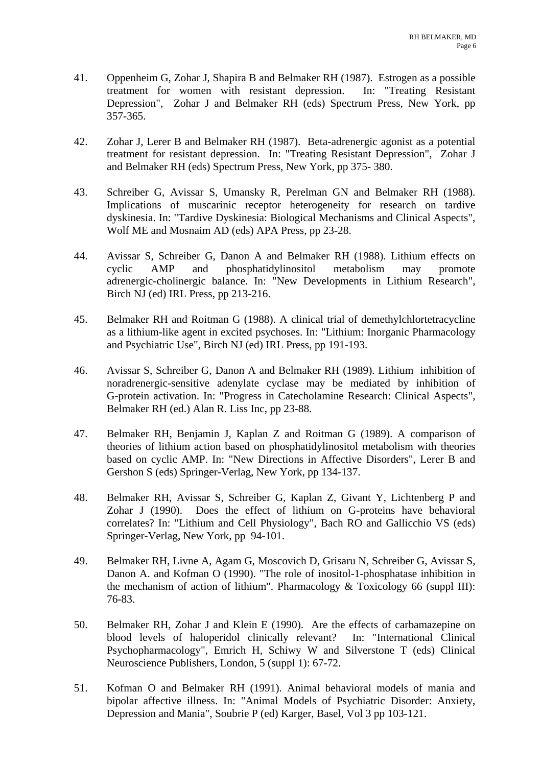- 41. Oppenheim G, Zohar J, Shapira B and Belmaker RH (1987). Estrogen as a possible treatment for women with resistant depression. In: "Treating Resistant Depression", Zohar J and Belmaker RH (eds) Spectrum Press, New York, pp 357-365.
- 42. Zohar J, Lerer B and Belmaker RH (1987). Beta-adrenergic agonist as a potential treatment for resistant depression. In: "Treating Resistant Depression", Zohar J and Belmaker RH (eds) Spectrum Press, New York, pp 375- 380.
- 43. Schreiber G, Avissar S, Umansky R, Perelman GN and Belmaker RH (1988). Implications of muscarinic receptor heterogeneity for research on tardive dyskinesia. In: "Tardive Dyskinesia: Biological Mechanisms and Clinical Aspects", Wolf ME and Mosnaim AD (eds) APA Press, pp 23-28.
- 44. Avissar S, Schreiber G, Danon A and Belmaker RH (1988). Lithium effects on cyclic AMP and phosphatidylinositol metabolism may promote adrenergic-cholinergic balance. In: "New Developments in Lithium Research", Birch NJ (ed) IRL Press, pp 213-216.
- 45. Belmaker RH and Roitman G (1988). A clinical trial of demethylchlortetracycline as a lithium-like agent in excited psychoses. In: "Lithium: Inorganic Pharmacology and Psychiatric Use", Birch NJ (ed) IRL Press, pp 191-193.
- 46. Avissar S, Schreiber G, Danon A and Belmaker RH (1989). Lithium inhibition of noradrenergic-sensitive adenylate cyclase may be mediated by inhibition of G-protein activation. In: "Progress in Catecholamine Research: Clinical Aspects", Belmaker RH (ed.) Alan R. Liss Inc, pp 23-88.
- 47. Belmaker RH, Benjamin J, Kaplan Z and Roitman G (1989). A comparison of theories of lithium action based on phosphatidylinositol metabolism with theories based on cyclic AMP. In: "New Directions in Affective Disorders", Lerer B and Gershon S (eds) Springer-Verlag, New York, pp 134-137.
- 48. Belmaker RH, Avissar S, Schreiber G, Kaplan Z, Givant Y, Lichtenberg P and Zohar J (1990). Does the effect of lithium on G-proteins have behavioral correlates? In: "Lithium and Cell Physiology", Bach RO and Gallicchio VS (eds) Springer-Verlag, New York, pp 94-101.
- 49. Belmaker RH, Livne A, Agam G, Moscovich D, Grisaru N, Schreiber G, Avissar S, Danon A. and Kofman O (1990). "The role of inositol-1-phosphatase inhibition in the mechanism of action of lithium". Pharmacology & Toxicology 66 (suppl III): 76-83.
- 50. Belmaker RH, Zohar J and Klein E (1990). Are the effects of carbamazepine on blood levels of haloperidol clinically relevant? In: "International Clinical Psychopharmacology", Emrich H, Schiwy W and Silverstone T (eds) Clinical Neuroscience Publishers, London, 5 (suppl 1): 67-72.
- 51. Kofman O and Belmaker RH (1991). Animal behavioral models of mania and bipolar affective illness. In: "Animal Models of Psychiatric Disorder: Anxiety, Depression and Mania", Soubrie P (ed) Karger, Basel, Vol 3 pp 103-121.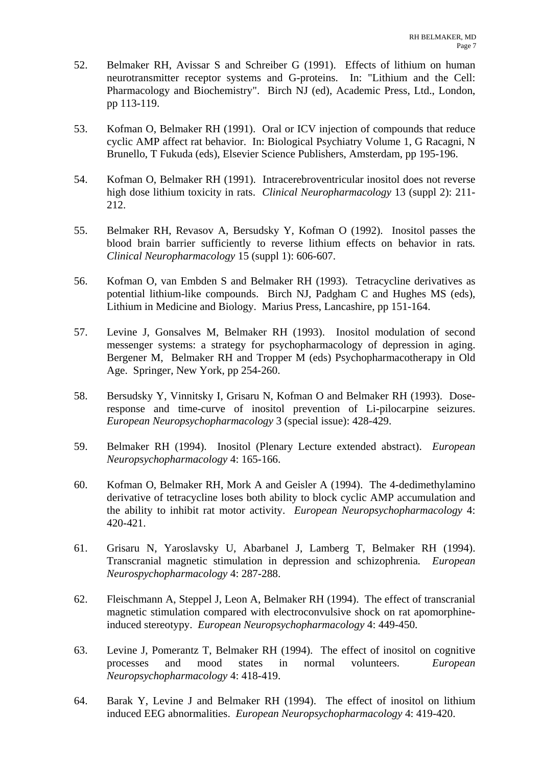- 52. Belmaker RH, Avissar S and Schreiber G (1991). Effects of lithium on human neurotransmitter receptor systems and G-proteins. In: "Lithium and the Cell: Pharmacology and Biochemistry". Birch NJ (ed), Academic Press, Ltd., London, pp 113-119.
- 53. Kofman O, Belmaker RH (1991). Oral or ICV injection of compounds that reduce cyclic AMP affect rat behavior. In: Biological Psychiatry Volume 1, G Racagni, N Brunello, T Fukuda (eds), Elsevier Science Publishers, Amsterdam, pp 195-196.
- 54. Kofman O, Belmaker RH (1991). Intracerebroventricular inositol does not reverse high dose lithium toxicity in rats. *Clinical Neuropharmacology* 13 (suppl 2): 211- 212.
- 55. Belmaker RH, Revasov A, Bersudsky Y, Kofman O (1992). Inositol passes the blood brain barrier sufficiently to reverse lithium effects on behavior in rats*. Clinical Neuropharmacology* 15 (suppl 1): 606-607.
- 56. Kofman O, van Embden S and Belmaker RH (1993). Tetracycline derivatives as potential lithium-like compounds. Birch NJ, Padgham C and Hughes MS (eds), Lithium in Medicine and Biology. Marius Press, Lancashire, pp 151-164.
- 57. Levine J, Gonsalves M, Belmaker RH (1993). Inositol modulation of second messenger systems: a strategy for psychopharmacology of depression in aging. Bergener M, Belmaker RH and Tropper M (eds) Psychopharmacotherapy in Old Age. Springer, New York, pp 254-260.
- 58. Bersudsky Y, Vinnitsky I, Grisaru N, Kofman O and Belmaker RH (1993). Doseresponse and time-curve of inositol prevention of Li-pilocarpine seizures. *European Neuropsychopharmacology* 3 (special issue): 428-429.
- 59. Belmaker RH (1994). Inositol (Plenary Lecture extended abstract). *European Neuropsychopharmacology* 4: 165-166.
- 60. Kofman O, Belmaker RH, Mork A and Geisler A (1994). The 4-dedimethylamino derivative of tetracycline loses both ability to block cyclic AMP accumulation and the ability to inhibit rat motor activity. *European Neuropsychopharmacology* 4: 420-421.
- 61. Grisaru N, Yaroslavsky U, Abarbanel J, Lamberg T, Belmaker RH (1994). Transcranial magnetic stimulation in depression and schizophrenia*. European Neurospychopharmacology* 4: 287-288.
- 62. Fleischmann A, Steppel J, Leon A, Belmaker RH (1994). The effect of transcranial magnetic stimulation compared with electroconvulsive shock on rat apomorphineinduced stereotypy. *European Neuropsychopharmacology* 4: 449-450.
- 63. Levine J, Pomerantz T, Belmaker RH (1994). The effect of inositol on cognitive processes and mood states in normal volunteers. *European Neuropsychopharmacology* 4: 418-419.
- 64. Barak Y, Levine J and Belmaker RH (1994). The effect of inositol on lithium induced EEG abnormalities. *European Neuropsychopharmacology* 4: 419-420.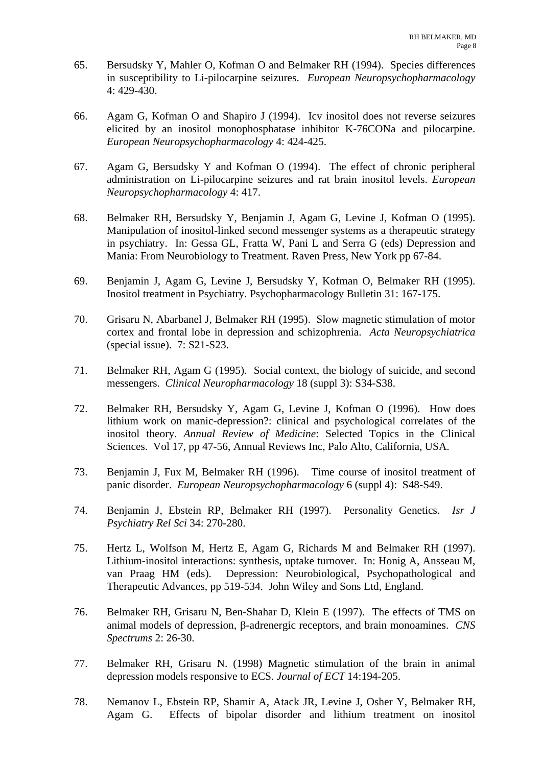- 65. Bersudsky Y, Mahler O, Kofman O and Belmaker RH (1994). Species differences in susceptibility to Li-pilocarpine seizures. *European Neuropsychopharmacology* 4: 429-430.
- 66. Agam G, Kofman O and Shapiro J (1994). Icv inositol does not reverse seizures elicited by an inositol monophosphatase inhibitor K-76CONa and pilocarpine. *European Neuropsychopharmacology* 4: 424-425.
- 67. Agam G, Bersudsky Y and Kofman O (1994). The effect of chronic peripheral administration on Li-pilocarpine seizures and rat brain inositol levels. *European Neuropsychopharmacology* 4: 417.
- 68. Belmaker RH, Bersudsky Y, Benjamin J, Agam G, Levine J, Kofman O (1995). Manipulation of inositol-linked second messenger systems as a therapeutic strategy in psychiatry. In: Gessa GL, Fratta W, Pani L and Serra G (eds) Depression and Mania: From Neurobiology to Treatment. Raven Press, New York pp 67-84.
- 69. Benjamin J, Agam G, Levine J, Bersudsky Y, Kofman O, Belmaker RH (1995). Inositol treatment in Psychiatry. Psychopharmacology Bulletin 31: 167-175.
- 70. Grisaru N, Abarbanel J, Belmaker RH (1995). Slow magnetic stimulation of motor cortex and frontal lobe in depression and schizophrenia. *Acta Neuropsychiatrica* (special issue). 7: S21-S23.
- 71. Belmaker RH, Agam G (1995). Social context, the biology of suicide, and second messengers. *Clinical Neuropharmacology* 18 (suppl 3): S34-S38.
- 72. Belmaker RH, Bersudsky Y, Agam G, Levine J, Kofman O (1996). How does lithium work on manic-depression?: clinical and psychological correlates of the inositol theory. *Annual Review of Medicine*: Selected Topics in the Clinical Sciences. Vol 17, pp 47-56, Annual Reviews Inc, Palo Alto, California, USA.
- 73. Benjamin J, Fux M, Belmaker RH (1996). Time course of inositol treatment of panic disorder. *European Neuropsychopharmacology* 6 (suppl 4): S48-S49.
- 74. Benjamin J, Ebstein RP, Belmaker RH (1997). Personality Genetics. *Isr J Psychiatry Rel Sci* 34: 270-280.
- 75. Hertz L, Wolfson M, Hertz E, Agam G, Richards M and Belmaker RH (1997). Lithium-inositol interactions: synthesis, uptake turnover. In: Honig A, Ansseau M, van Praag HM (eds). Depression: Neurobiological, Psychopathological and Therapeutic Advances, pp 519-534. John Wiley and Sons Ltd, England.
- 76. Belmaker RH, Grisaru N, Ben-Shahar D, Klein E (1997). The effects of TMS on animal models of depression, β-adrenergic receptors, and brain monoamines. *CNS Spectrums* 2: 26-30.
- 77. Belmaker RH, Grisaru N. (1998) Magnetic stimulation of the brain in animal depression models responsive to ECS. *Journal of ECT* 14:194-205.
- 78. Nemanov L, Ebstein RP, Shamir A, Atack JR, Levine J, Osher Y, Belmaker RH, Agam G. Effects of bipolar disorder and lithium treatment on inositol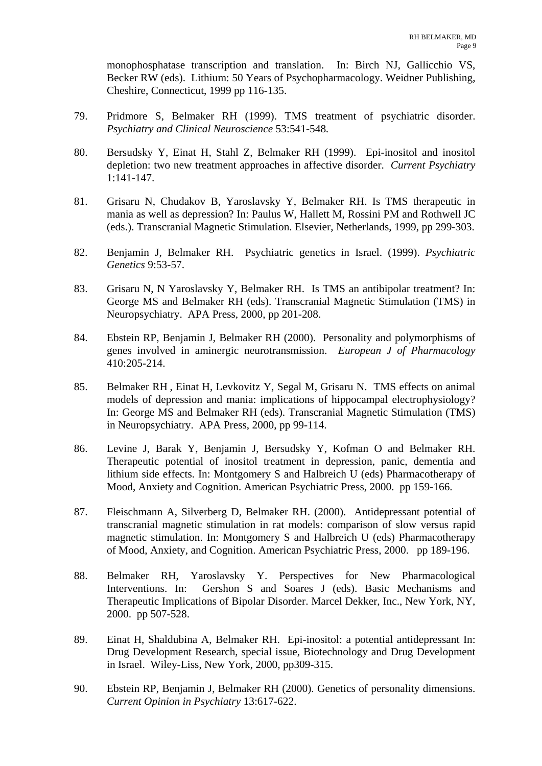monophosphatase transcription and translation. In: Birch NJ, Gallicchio VS, Becker RW (eds). Lithium: 50 Years of Psychopharmacology. Weidner Publishing, Cheshire, Connecticut, 1999 pp 116-135.

- 79. Pridmore S, Belmaker RH (1999). TMS treatment of psychiatric disorder. *Psychiatry and Clinical Neuroscience* 53:541-548*.*
- 80. Bersudsky Y, Einat H, Stahl Z, Belmaker RH (1999). Epi-inositol and inositol depletion: two new treatment approaches in affective disorder. *Current Psychiatry* 1:141-147.
- 81. Grisaru N, Chudakov B, Yaroslavsky Y, Belmaker RH. Is TMS therapeutic in mania as well as depression? In: Paulus W, Hallett M, Rossini PM and Rothwell JC (eds.). Transcranial Magnetic Stimulation. Elsevier, Netherlands, 1999, pp 299-303.
- 82. Benjamin J, Belmaker RH. Psychiatric genetics in Israel. (1999). *Psychiatric Genetics* 9:53-57.
- 83. Grisaru N, N Yaroslavsky Y, Belmaker RH. Is TMS an antibipolar treatment? In: George MS and Belmaker RH (eds). Transcranial Magnetic Stimulation (TMS) in Neuropsychiatry. APA Press, 2000, pp 201-208.
- 84. Ebstein RP, Benjamin J, Belmaker RH (2000). Personality and polymorphisms of genes involved in aminergic neurotransmission. *European J of Pharmacology* 410:205-214.
- 85. Belmaker RH , Einat H, Levkovitz Y, Segal M, Grisaru N. TMS effects on animal models of depression and mania: implications of hippocampal electrophysiology? In: George MS and Belmaker RH (eds). Transcranial Magnetic Stimulation (TMS) in Neuropsychiatry. APA Press, 2000, pp 99-114.
- 86. Levine J, Barak Y, Benjamin J, Bersudsky Y, Kofman O and Belmaker RH. Therapeutic potential of inositol treatment in depression, panic, dementia and lithium side effects. In: Montgomery S and Halbreich U (eds) Pharmacotherapy of Mood, Anxiety and Cognition. American Psychiatric Press, 2000. pp 159-166.
- 87. Fleischmann A, Silverberg D, Belmaker RH. (2000). Antidepressant potential of transcranial magnetic stimulation in rat models: comparison of slow versus rapid magnetic stimulation. In: Montgomery S and Halbreich U (eds) Pharmacotherapy of Mood, Anxiety, and Cognition. American Psychiatric Press, 2000. pp 189-196.
- 88. Belmaker RH, Yaroslavsky Y. Perspectives for New Pharmacological Interventions. In: Gershon S and Soares J (eds). Basic Mechanisms and Therapeutic Implications of Bipolar Disorder. Marcel Dekker, Inc., New York, NY, 2000. pp 507-528.
- 89. Einat H, Shaldubina A, Belmaker RH. Epi-inositol: a potential antidepressant In: Drug Development Research, special issue, Biotechnology and Drug Development in Israel. Wiley-Liss, New York, 2000, pp309-315.
- 90. Ebstein RP, Benjamin J, Belmaker RH (2000). Genetics of personality dimensions. *Current Opinion in Psychiatry* 13:617-622.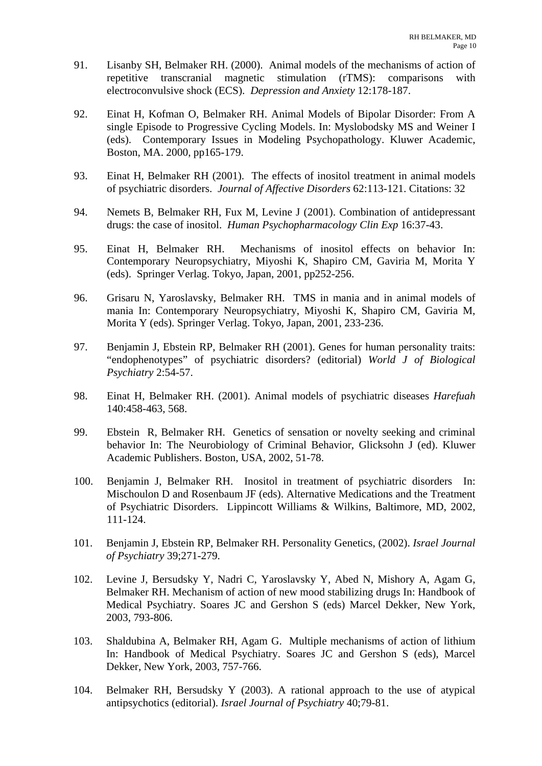- 91. Lisanby SH, Belmaker RH. (2000). Animal models of the mechanisms of action of repetitive transcranial magnetic stimulation (rTMS): comparisons with electroconvulsive shock (ECS). *Depression and Anxiety* 12:178-187.
- 92. Einat H, Kofman O, Belmaker RH. Animal Models of Bipolar Disorder: From A single Episode to Progressive Cycling Models. In: Myslobodsky MS and Weiner I (eds). Contemporary Issues in Modeling Psychopathology. Kluwer Academic, Boston, MA. 2000, pp165-179.
- 93. Einat H, Belmaker RH (2001). The effects of inositol treatment in animal models of psychiatric disorders. *Journal of Affective Disorders* 62:113-121. Citations: 32
- 94. Nemets B, Belmaker RH, Fux M, Levine J (2001). Combination of antidepressant drugs: the case of inositol. *Human Psychopharmacology Clin Exp* 16:37-43.
- 95. Einat H, Belmaker RH. Mechanisms of inositol effects on behavior In: Contemporary Neuropsychiatry, Miyoshi K, Shapiro CM, Gaviria M, Morita Y (eds). Springer Verlag. Tokyo, Japan, 2001, pp252-256.
- 96. Grisaru N, Yaroslavsky, Belmaker RH. TMS in mania and in animal models of mania In: Contemporary Neuropsychiatry, Miyoshi K, Shapiro CM, Gaviria M, Morita Y (eds). Springer Verlag. Tokyo, Japan, 2001, 233-236.
- 97. Benjamin J, Ebstein RP, Belmaker RH (2001). Genes for human personality traits: "endophenotypes" of psychiatric disorders? (editorial) *World J of Biological Psychiatry* 2:54-57.
- 98. Einat H, Belmaker RH. (2001). Animal models of psychiatric diseases *Harefuah* 140:458-463, 568.
- 99. Ebstein R, Belmaker RH. Genetics of sensation or novelty seeking and criminal behavior In: The Neurobiology of Criminal Behavior, Glicksohn J (ed). Kluwer Academic Publishers. Boston, USA, 2002, 51-78.
- 100. Benjamin J, Belmaker RH. Inositol in treatment of psychiatric disorders In: Mischoulon D and Rosenbaum JF (eds). Alternative Medications and the Treatment of Psychiatric Disorders. Lippincott Williams & Wilkins, Baltimore, MD, 2002, 111-124.
- 101. Benjamin J, Ebstein RP, Belmaker RH. Personality Genetics, (2002). *Israel Journal of Psychiatry* 39;271-279.
- 102. Levine J, Bersudsky Y, Nadri C, Yaroslavsky Y, Abed N, Mishory A, Agam G, Belmaker RH. Mechanism of action of new mood stabilizing drugs In: Handbook of Medical Psychiatry. Soares JC and Gershon S (eds) Marcel Dekker, New York, 2003, 793-806.
- 103. Shaldubina A, Belmaker RH, Agam G. Multiple mechanisms of action of lithium In: Handbook of Medical Psychiatry. Soares JC and Gershon S (eds), Marcel Dekker, New York, 2003, 757-766.
- 104. Belmaker RH, Bersudsky Y (2003). A rational approach to the use of atypical antipsychotics (editorial). *Israel Journal of Psychiatry* 40;79-81.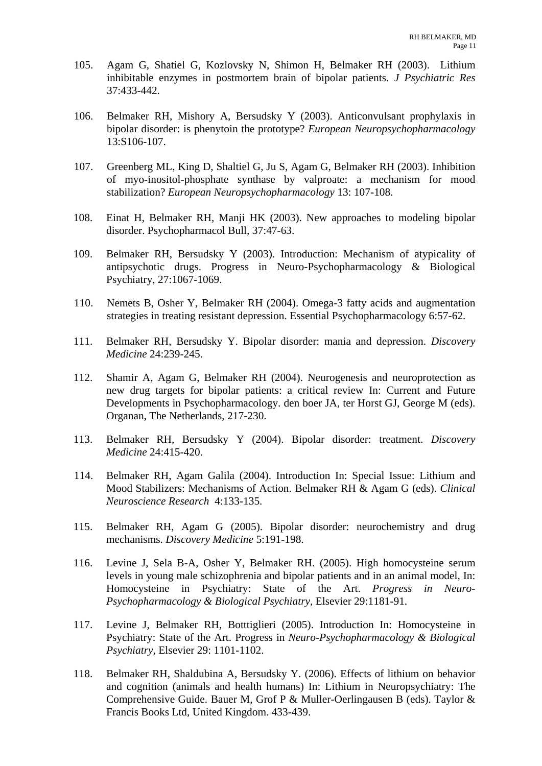- 105. Agam G, Shatiel G, Kozlovsky N, Shimon H, Belmaker RH (2003). Lithium inhibitable enzymes in postmortem brain of bipolar patients. *J Psychiatric Res* 37:433-442.
- 106. Belmaker RH, Mishory A, Bersudsky Y (2003). Anticonvulsant prophylaxis in bipolar disorder: is phenytoin the prototype? *European Neuropsychopharmacology* 13:S106-107.
- 107. Greenberg ML, King D, Shaltiel G, Ju S, Agam G, Belmaker RH (2003). Inhibition of myo-inositol-phosphate synthase by valproate: a mechanism for mood stabilization? *European Neuropsychopharmacology* 13: 107-108.
- 108. Einat H, Belmaker RH, Manji HK (2003). New approaches to modeling bipolar disorder. Psychopharmacol Bull, 37:47-63.
- 109. Belmaker RH, Bersudsky Y (2003). Introduction: Mechanism of atypicality of antipsychotic drugs. Progress in Neuro-Psychopharmacology & Biological Psychiatry, 27:1067-1069.
- 110. Nemets B, Osher Y, Belmaker RH (2004). Omega-3 fatty acids and augmentation strategies in treating resistant depression. Essential Psychopharmacology 6:57-62.
- 111. Belmaker RH, Bersudsky Y. Bipolar disorder: mania and depression. *Discovery Medicine* 24:239-245.
- 112. Shamir A, Agam G, Belmaker RH (2004). Neurogenesis and neuroprotection as new drug targets for bipolar patients: a critical review In: Current and Future Developments in Psychopharmacology. den boer JA, ter Horst GJ, George M (eds). Organan, The Netherlands, 217-230.
- 113. Belmaker RH, Bersudsky Y (2004). Bipolar disorder: treatment. *Discovery Medicine* 24:415-420.
- 114. Belmaker RH, Agam Galila (2004). Introduction In: Special Issue: Lithium and Mood Stabilizers: Mechanisms of Action. Belmaker RH & Agam G (eds). *Clinical Neuroscience Research* 4:133-135.
- 115. Belmaker RH, Agam G (2005). Bipolar disorder: neurochemistry and drug mechanisms. *Discovery Medicine* 5:191-198.
- 116. Levine J, Sela B-A, Osher Y, Belmaker RH. (2005). High homocysteine serum levels in young male schizophrenia and bipolar patients and in an animal model, In: Homocysteine in Psychiatry: State of the Art. *Progress in Neuro-Psychopharmacology & Biological Psychiatry*, Elsevier 29:1181-91.
- 117. Levine J, Belmaker RH, Botttiglieri (2005). Introduction In: Homocysteine in Psychiatry: State of the Art. Progress in *Neuro-Psychopharmacology & Biological Psychiatry*, Elsevier 29: 1101-1102.
- 118. Belmaker RH, Shaldubina A, Bersudsky Y. (2006). Effects of lithium on behavior and cognition (animals and health humans) In: Lithium in Neuropsychiatry: The Comprehensive Guide. Bauer M, Grof P & Muller-Oerlingausen B (eds). Taylor & Francis Books Ltd, United Kingdom. 433-439.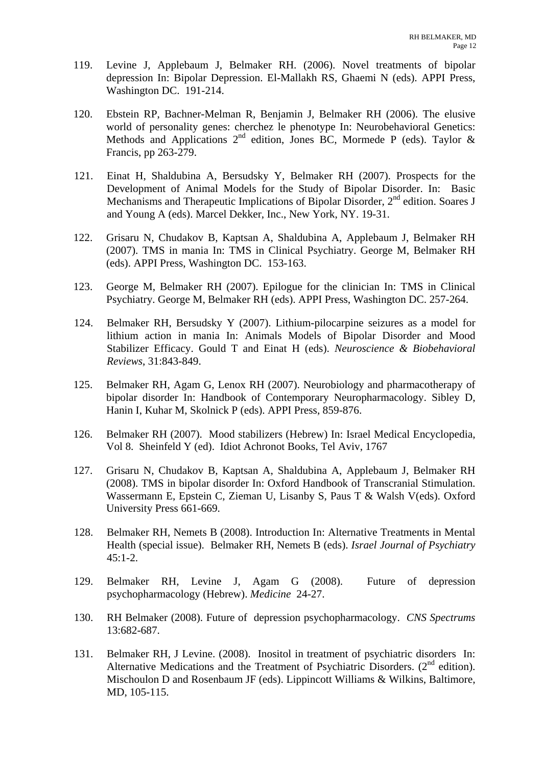- 119. Levine J, Applebaum J, Belmaker RH. (2006). Novel treatments of bipolar depression In: Bipolar Depression. El-Mallakh RS, Ghaemi N (eds). APPI Press, Washington DC. 191-214.
- 120. Ebstein RP, Bachner-Melman R, Benjamin J, Belmaker RH (2006). The elusive world of personality genes: cherchez le phenotype In: Neurobehavioral Genetics: Methods and Applications  $2^{nd}$  edition, Jones BC, Mormede P (eds). Taylor & Francis, pp 263-279.
- 121. Einat H, Shaldubina A, Bersudsky Y, Belmaker RH (2007). Prospects for the Development of Animal Models for the Study of Bipolar Disorder. In: Basic Mechanisms and Therapeutic Implications of Bipolar Disorder,  $2<sup>nd</sup>$  edition. Soares J and Young A (eds). Marcel Dekker, Inc., New York, NY. 19-31.
- 122. Grisaru N, Chudakov B, Kaptsan A, Shaldubina A, Applebaum J, Belmaker RH (2007). TMS in mania In: TMS in Clinical Psychiatry. George M, Belmaker RH (eds). APPI Press, Washington DC. 153-163.
- 123. George M, Belmaker RH (2007). Epilogue for the clinician In: TMS in Clinical Psychiatry. George M, Belmaker RH (eds). APPI Press, Washington DC. 257-264.
- 124. Belmaker RH, Bersudsky Y (2007). Lithium-pilocarpine seizures as a model for lithium action in mania In: Animals Models of Bipolar Disorder and Mood Stabilizer Efficacy. Gould T and Einat H (eds). *Neuroscience & Biobehavioral Reviews*, 31:843-849.
- 125. Belmaker RH, Agam G, Lenox RH (2007). Neurobiology and pharmacotherapy of bipolar disorder In: Handbook of Contemporary Neuropharmacology. Sibley D, Hanin I, Kuhar M, Skolnick P (eds). APPI Press, 859-876.
- 126. Belmaker RH (2007). Mood stabilizers (Hebrew) In: Israel Medical Encyclopedia, Vol 8. Sheinfeld Y (ed). Idiot Achronot Books, Tel Aviv, 1767
- 127. Grisaru N, Chudakov B, Kaptsan A, Shaldubina A, Applebaum J, Belmaker RH (2008). TMS in bipolar disorder In: Oxford Handbook of Transcranial Stimulation. Wassermann E, Epstein C, Zieman U, Lisanby S, Paus T & Walsh V(eds). Oxford University Press 661-669.
- 128. Belmaker RH, Nemets B (2008). Introduction In: Alternative Treatments in Mental Health (special issue). Belmaker RH, Nemets B (eds). *Israel Journal of Psychiatry* 45:1-2.
- 129. Belmaker RH, Levine J, Agam G (2008). Future of depression psychopharmacology (Hebrew). *Medicine* 24-27.
- 130. RH Belmaker (2008). Future of depression psychopharmacology. *CNS Spectrums* 13:682-687.
- 131. Belmaker RH, J Levine. (2008). Inositol in treatment of psychiatric disorders In: Alternative Medications and the Treatment of Psychiatric Disorders.  $(2<sup>nd</sup>$  edition). Mischoulon D and Rosenbaum JF (eds). Lippincott Williams & Wilkins, Baltimore, MD, 105-115.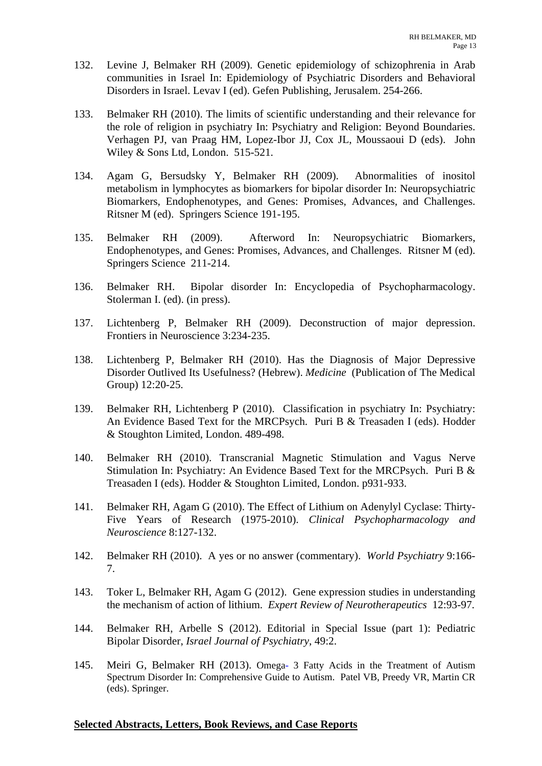- 132. Levine J, Belmaker RH (2009). Genetic epidemiology of schizophrenia in Arab communities in Israel In: Epidemiology of Psychiatric Disorders and Behavioral Disorders in Israel. Levav I (ed). Gefen Publishing, Jerusalem. 254-266.
- 133. Belmaker RH (2010). The limits of scientific understanding and their relevance for the role of religion in psychiatry In: Psychiatry and Religion: Beyond Boundaries. Verhagen PJ, van Praag HM, Lopez-Ibor JJ, Cox JL, Moussaoui D (eds). John Wiley & Sons Ltd, London. 515-521.
- 134. Agam G, Bersudsky Y, Belmaker RH (2009). Abnormalities of inositol metabolism in lymphocytes as biomarkers for bipolar disorder In: Neuropsychiatric Biomarkers, Endophenotypes, and Genes: Promises, Advances, and Challenges. Ritsner M (ed). Springers Science 191-195.
- 135. Belmaker RH (2009). Afterword In: Neuropsychiatric Biomarkers, Endophenotypes, and Genes: Promises, Advances, and Challenges. Ritsner M (ed). Springers Science 211-214.
- 136. Belmaker RH. Bipolar disorder In: Encyclopedia of Psychopharmacology. Stolerman I. (ed). (in press).
- 137. Lichtenberg P, Belmaker RH (2009). Deconstruction of major depression. Frontiers in Neuroscience 3:234-235.
- 138. Lichtenberg P, Belmaker RH (2010). Has the Diagnosis of Major Depressive Disorder Outlived Its Usefulness? (Hebrew). *Medicine* (Publication of The Medical Group) 12:20-25.
- 139. Belmaker RH, Lichtenberg P (2010). Classification in psychiatry In: Psychiatry: An Evidence Based Text for the MRCPsych. Puri B & Treasaden I (eds). Hodder & Stoughton Limited, London. 489-498.
- 140. Belmaker RH (2010). Transcranial Magnetic Stimulation and Vagus Nerve Stimulation In: Psychiatry: An Evidence Based Text for the MRCPsych. Puri B & Treasaden I (eds). Hodder & Stoughton Limited, London. p931-933.
- 141. Belmaker RH, Agam G (2010). The Effect of Lithium on Adenylyl Cyclase: Thirty-Five Years of Research (1975-2010). *Clinical Psychopharmacology and Neuroscience* 8:127-132.
- 142. Belmaker RH (2010). A yes or no answer (commentary). *World Psychiatry* 9:166- 7.
- 143. Toker L, Belmaker RH, Agam G (2012). Gene expression studies in understanding the mechanism of action of lithium. *Expert Review of Neurotherapeutics* 12:93-97.
- 144. Belmaker RH, Arbelle S (2012). Editorial in Special Issue (part 1): Pediatric Bipolar Disorder, *Israel Journal of Psychiatry*, 49:2.
- 145. Meiri G, Belmaker RH (2013). Omega- 3 Fatty Acids in the Treatment of Autism Spectrum Disorder In: Comprehensive Guide to Autism. Patel VB, Preedy VR, Martin CR (eds). Springer.

### **Selected Abstracts, Letters, Book Reviews, and Case Reports**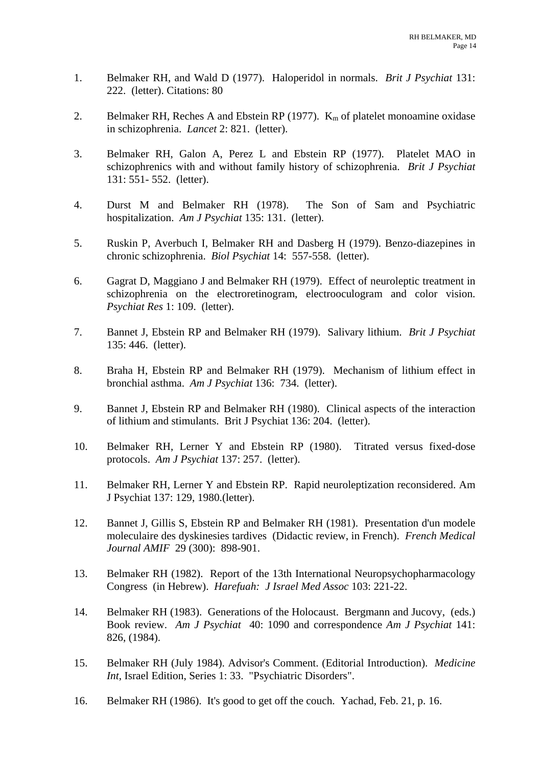- 1. Belmaker RH, and Wald D (1977). Haloperidol in normals. *Brit J Psychiat* 131: 222. (letter). Citations: 80
- 2. Belmaker RH, Reches A and Ebstein RP (1977).  $K_m$  of platelet monoamine oxidase in schizophrenia. *Lancet* 2: 821. (letter).
- 3. Belmaker RH, Galon A, Perez L and Ebstein RP (1977). Platelet MAO in schizophrenics with and without family history of schizophrenia. *Brit J Psychiat* 131: 551- 552. (letter).
- 4. Durst M and Belmaker RH (1978). The Son of Sam and Psychiatric hospitalization. *Am J Psychiat* 135: 131. (letter).
- 5. Ruskin P, Averbuch I, Belmaker RH and Dasberg H (1979). Benzo-diazepines in chronic schizophrenia. *Biol Psychiat* 14: 557-558. (letter).
- 6. Gagrat D, Maggiano J and Belmaker RH (1979). Effect of neuroleptic treatment in schizophrenia on the electroretinogram, electrooculogram and color vision. *Psychiat Res* 1: 109. (letter).
- 7. Bannet J, Ebstein RP and Belmaker RH (1979). Salivary lithium. *Brit J Psychiat* 135: 446. (letter).
- 8. Braha H, Ebstein RP and Belmaker RH (1979). Mechanism of lithium effect in bronchial asthma. *Am J Psychiat* 136: 734. (letter).
- 9. Bannet J, Ebstein RP and Belmaker RH (1980). Clinical aspects of the interaction of lithium and stimulants. Brit J Psychiat 136: 204. (letter).
- 10. Belmaker RH, Lerner Y and Ebstein RP (1980). Titrated versus fixed-dose protocols. *Am J Psychiat* 137: 257. (letter).
- 11. Belmaker RH, Lerner Y and Ebstein RP. Rapid neuroleptization reconsidered. Am J Psychiat 137: 129, 1980.(letter).
- 12. Bannet J, Gillis S, Ebstein RP and Belmaker RH (1981). Presentation d'un modele moleculaire des dyskinesies tardives (Didactic review, in French). *French Medical Journal AMIF* 29 (300): 898-901.
- 13. Belmaker RH (1982). Report of the 13th International Neuropsychopharmacology Congress (in Hebrew). *Harefuah: J Israel Med Assoc* 103: 221-22.
- 14. Belmaker RH (1983). Generations of the Holocaust. Bergmann and Jucovy, (eds.) Book review. *Am J Psychiat* 40: 1090 and correspondence *Am J Psychiat* 141: 826, (1984).
- 15. Belmaker RH (July 1984). Advisor's Comment. (Editorial Introduction). *Medicine Int*, Israel Edition, Series 1: 33. "Psychiatric Disorders".
- 16. Belmaker RH (1986). It's good to get off the couch. Yachad, Feb. 21, p. 16.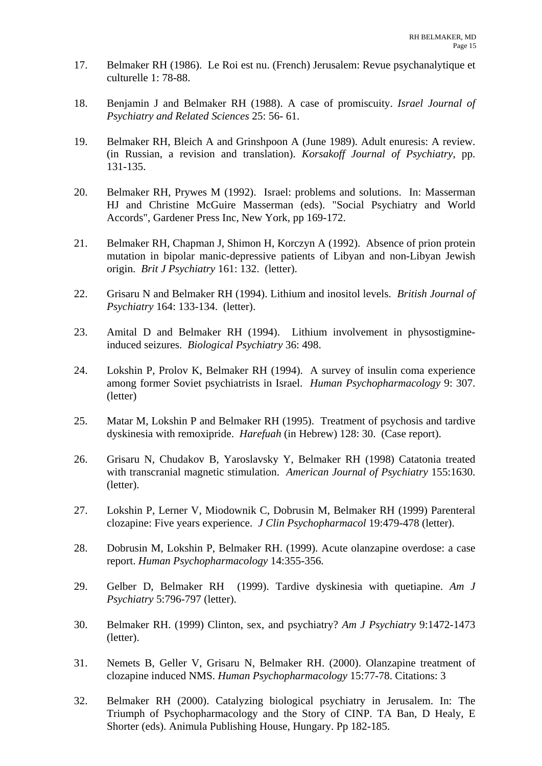- 17. Belmaker RH (1986). Le Roi est nu. (French) Jerusalem: Revue psychanalytique et culturelle 1: 78-88.
- 18. Benjamin J and Belmaker RH (1988). A case of promiscuity. *Israel Journal of Psychiatry and Related Sciences* 25: 56- 61.
- 19. Belmaker RH, Bleich A and Grinshpoon A (June 1989). Adult enuresis: A review. (in Russian, a revision and translation). *Korsakoff Journal of Psychiatry*, pp. 131-135.
- 20. Belmaker RH, Prywes M (1992). Israel: problems and solutions. In: Masserman HJ and Christine McGuire Masserman (eds). "Social Psychiatry and World Accords", Gardener Press Inc, New York, pp 169-172.
- 21. Belmaker RH, Chapman J, Shimon H, Korczyn A (1992). Absence of prion protein mutation in bipolar manic-depressive patients of Libyan and non-Libyan Jewish origin. *Brit J Psychiatry* 161: 132. (letter).
- 22. Grisaru N and Belmaker RH (1994). Lithium and inositol levels. *British Journal of Psychiatry* 164: 133-134. (letter).
- 23. Amital D and Belmaker RH (1994). Lithium involvement in physostigmineinduced seizures. *Biological Psychiatry* 36: 498.
- 24. Lokshin P, Prolov K, Belmaker RH (1994). A survey of insulin coma experience among former Soviet psychiatrists in Israel. *Human Psychopharmacology* 9: 307. (letter)
- 25. Matar M, Lokshin P and Belmaker RH (1995). Treatment of psychosis and tardive dyskinesia with remoxipride. *Harefuah* (in Hebrew) 128: 30. (Case report).
- 26. Grisaru N, Chudakov B, Yaroslavsky Y, Belmaker RH (1998) Catatonia treated with transcranial magnetic stimulation. *American Journal of Psychiatry* 155:1630. (letter).
- 27. Lokshin P, Lerner V, Miodownik C, Dobrusin M, Belmaker RH (1999) Parenteral clozapine: Five years experience. *J Clin Psychopharmacol* 19:479-478 (letter).
- 28. Dobrusin M, Lokshin P, Belmaker RH. (1999). Acute olanzapine overdose: a case report. *Human Psychopharmacology* 14:355-356.
- 29. Gelber D, Belmaker RH (1999). Tardive dyskinesia with quetiapine. *Am J Psychiatry* 5:796-797 (letter).
- 30. Belmaker RH. (1999) Clinton, sex, and psychiatry? *Am J Psychiatry* 9:1472-1473 (letter).
- 31. Nemets B, Geller V, Grisaru N, Belmaker RH. (2000). Olanzapine treatment of clozapine induced NMS. *Human Psychopharmacology* 15:77-78. Citations: 3
- 32. Belmaker RH (2000). Catalyzing biological psychiatry in Jerusalem. In: The Triumph of Psychopharmacology and the Story of CINP. TA Ban, D Healy, E Shorter (eds). Animula Publishing House, Hungary. Pp 182-185.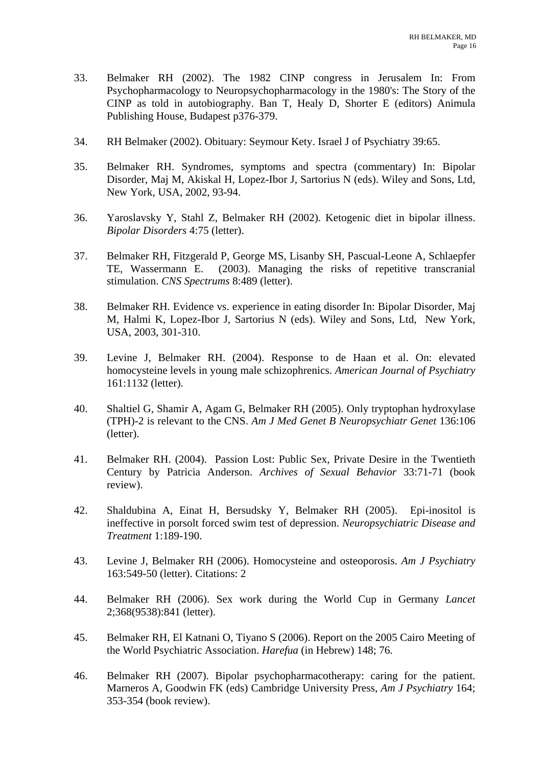- 33. Belmaker RH (2002). The 1982 CINP congress in Jerusalem In: From Psychopharmacology to Neuropsychopharmacology in the 1980's: The Story of the CINP as told in autobiography. Ban T, Healy D, Shorter E (editors) Animula Publishing House, Budapest p376-379.
- 34. RH Belmaker (2002). Obituary: Seymour Kety. Israel J of Psychiatry 39:65.
- 35. Belmaker RH. Syndromes, symptoms and spectra (commentary) In: Bipolar Disorder, Maj M, Akiskal H, Lopez-Ibor J, Sartorius N (eds). Wiley and Sons, Ltd, New York, USA, 2002, 93-94.
- 36. Yaroslavsky Y, Stahl Z, Belmaker RH (2002). Ketogenic diet in bipolar illness. *Bipolar Disorders* 4:75 (letter).
- 37. Belmaker RH, Fitzgerald P, George MS, Lisanby SH, Pascual-Leone A, Schlaepfer TE, Wassermann E. (2003). Managing the risks of repetitive transcranial stimulation. *CNS Spectrums* 8:489 (letter).
- 38. Belmaker RH. Evidence vs. experience in eating disorder In: Bipolar Disorder, Maj M, Halmi K, Lopez-Ibor J, Sartorius N (eds). Wiley and Sons, Ltd, New York, USA, 2003, 301-310.
- 39. Levine J, Belmaker RH. (2004). Response to de Haan et al. On: elevated homocysteine levels in young male schizophrenics. *American Journal of Psychiatry* 161:1132 (letter).
- 40. Shaltiel G, Shamir A, Agam G, Belmaker RH (2005). Only tryptophan hydroxylase (TPH)-2 is relevant to the CNS. *Am J Med Genet B Neuropsychiatr Genet* 136:106 (letter).
- 41. Belmaker RH. (2004). Passion Lost: Public Sex, Private Desire in the Twentieth Century by Patricia Anderson. *Archives of Sexual Behavior* 33:71-71 (book review).
- 42. Shaldubina A, Einat H, Bersudsky Y, Belmaker RH (2005). Epi-inositol is ineffective in porsolt forced swim test of depression. *Neuropsychiatric Disease and Treatment* 1:189-190.
- 43. Levine J, Belmaker RH (2006). Homocysteine and osteoporosis. *Am J Psychiatry* 163:549-50 (letter). Citations: 2
- 44. Belmaker RH (2006). Sex work during the World Cup in Germany *Lancet* 2;368(9538):841 (letter).
- 45. Belmaker RH, El Katnani O, Tiyano S (2006). Report on the 2005 Cairo Meeting of the World Psychiatric Association. *Harefua* (in Hebrew) 148; 76.
- 46. Belmaker RH (2007). Bipolar psychopharmacotherapy: caring for the patient. Marneros A, Goodwin FK (eds) Cambridge University Press, *Am J Psychiatry* 164; 353-354 (book review).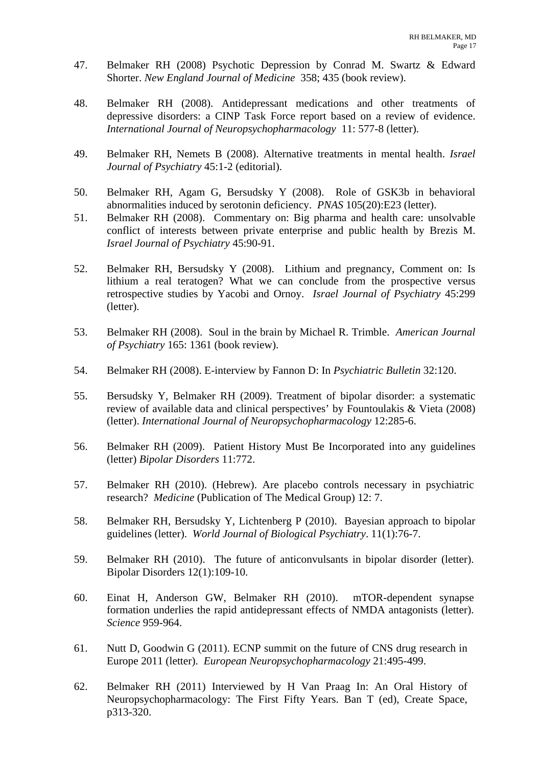- 47. Belmaker RH (2008) Psychotic Depression by Conrad M. Swartz & Edward Shorter. *New England Journal of Medicine* 358; 435 (book review).
- 48. Belmaker RH (2008). Antidepressant medications and other treatments of depressive disorders: a CINP Task Force report based on a review of evidence. *International Journal of Neuropsychopharmacology* 11: 577-8 (letter).
- 49. Belmaker RH, Nemets B (2008). Alternative treatments in mental health. *Israel Journal of Psychiatry* 45:1-2 (editorial).
- 50. Belmaker RH, Agam G, Bersudsky Y (2008). Role of GSK3b in behavioral abnormalities induced by serotonin deficiency. *PNAS* 105(20):E23 (letter).
- 51. Belmaker RH (2008). Commentary on: Big pharma and health care: unsolvable conflict of interests between private enterprise and public health by Brezis M. *Israel Journal of Psychiatry* 45:90-91.
- 52. Belmaker RH, Bersudsky Y (2008). Lithium and pregnancy, Comment on: Is lithium a real teratogen? What we can conclude from the prospective versus retrospective studies by Yacobi and Ornoy. *Israel Journal of Psychiatry* 45:299 (letter).
- 53. Belmaker RH (2008). Soul in the brain by Michael R. Trimble. *American Journal of Psychiatry* 165: 1361 (book review).
- 54. Belmaker RH (2008). E-interview by Fannon D: In *Psychiatric Bulletin* 32:120.
- 55. Bersudsky Y, Belmaker RH (2009). Treatment of bipolar disorder: a systematic review of available data and clinical perspectives' by Fountoulakis & Vieta (2008) (letter). *International Journal of Neuropsychopharmacology* 12:285-6.
- 56. Belmaker RH (2009). Patient History Must Be Incorporated into any guidelines (letter) *Bipolar Disorders* 11:772.
- 57. Belmaker RH (2010). (Hebrew). Are placebo controls necessary in psychiatric research? *Medicine* (Publication of The Medical Group) 12: 7.
- 58. Belmaker RH, Bersudsky Y, Lichtenberg P (2010). Bayesian approach to bipolar guidelines (letter). *World Journal of Biological Psychiatry*. 11(1):76-7.
- 59. Belmaker RH (2010). The future of anticonvulsants in bipolar disorder (letter). Bipolar Disorders 12(1):109-10.
- 60. Einat H, Anderson GW, Belmaker RH (2010). mTOR-dependent synapse formation underlies the rapid antidepressant effects of NMDA antagonists (letter). *Science* 959-964.
- 61. Nutt D, Goodwin G (2011). ECNP summit on the future of CNS drug research in Europe 2011 (letter). *European Neuropsychopharmacology* 21:495-499.
- 62. Belmaker RH (2011) Interviewed by H Van Praag In: An Oral History of Neuropsychopharmacology: The First Fifty Years. Ban T (ed), Create Space, p313-320.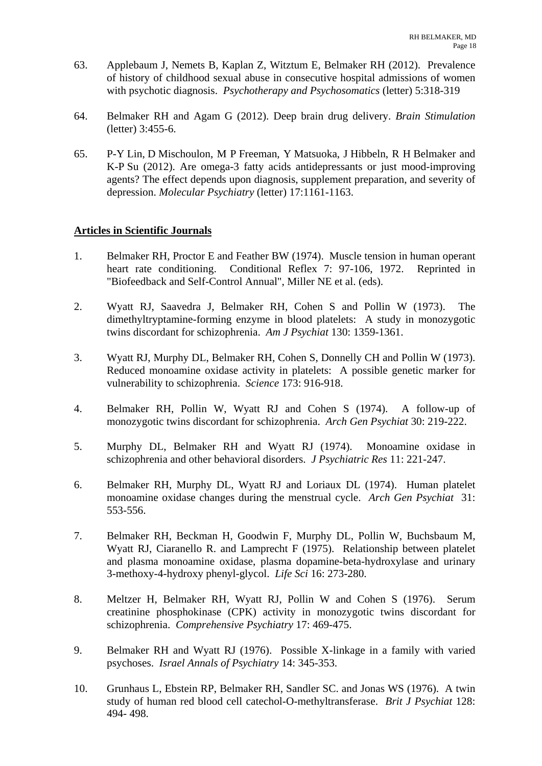- 63. Applebaum J, Nemets B, Kaplan Z, Witztum E, Belmaker RH (2012). Prevalence of history of childhood sexual abuse in consecutive hospital admissions of women with psychotic diagnosis. *Psychotherapy and Psychosomatics* (letter) 5:318-319
- 64. Belmaker RH and Agam G (2012). Deep brain drug delivery. *Brain Stimulation*  (letter) 3:455-6.
- 65. P-Y Lin, D Mischoulon, M P Freeman, Y Matsuoka, J Hibbeln, R H Belmaker and K-P Su (2012). Are omega-3 fatty acids antidepressants or just mood-improving agents? The effect depends upon diagnosis, supplement preparation, and severity of depression. *Molecular Psychiatry* (letter) 17:1161-1163.

## **Articles in Scientific Journals**

- 1. Belmaker RH, Proctor E and Feather BW (1974). Muscle tension in human operant heart rate conditioning. Conditional Reflex 7: 97-106, 1972. Reprinted in "Biofeedback and Self-Control Annual", Miller NE et al. (eds).
- 2. Wyatt RJ, Saavedra J, Belmaker RH, Cohen S and Pollin W (1973). The dimethyltryptamine-forming enzyme in blood platelets: A study in monozygotic twins discordant for schizophrenia. *Am J Psychiat* 130: 1359-1361.
- 3. Wyatt RJ, Murphy DL, Belmaker RH, Cohen S, Donnelly CH and Pollin W (1973). Reduced monoamine oxidase activity in platelets: A possible genetic marker for vulnerability to schizophrenia. *Science* 173: 916-918.
- 4. Belmaker RH, Pollin W, Wyatt RJ and Cohen S (1974). A follow-up of monozygotic twins discordant for schizophrenia. *Arch Gen Psychiat* 30: 219-222.
- 5. Murphy DL, Belmaker RH and Wyatt RJ (1974). Monoamine oxidase in schizophrenia and other behavioral disorders. *J Psychiatric Res* 11: 221-247.
- 6. Belmaker RH, Murphy DL, Wyatt RJ and Loriaux DL (1974). Human platelet monoamine oxidase changes during the menstrual cycle. *Arch Gen Psychiat* 31: 553-556.
- 7. Belmaker RH, Beckman H, Goodwin F, Murphy DL, Pollin W, Buchsbaum M, Wyatt RJ, Ciaranello R. and Lamprecht F (1975). Relationship between platelet and plasma monoamine oxidase, plasma dopamine-beta-hydroxylase and urinary 3-methoxy-4-hydroxy phenyl-glycol. *Life Sci* 16: 273-280.
- 8. Meltzer H, Belmaker RH, Wyatt RJ, Pollin W and Cohen S (1976). Serum creatinine phosphokinase (CPK) activity in monozygotic twins discordant for schizophrenia. *Comprehensive Psychiatry* 17: 469-475.
- 9. Belmaker RH and Wyatt RJ (1976). Possible X-linkage in a family with varied psychoses. *Israel Annals of Psychiatry* 14: 345-353.
- 10. Grunhaus L, Ebstein RP, Belmaker RH, Sandler SC. and Jonas WS (1976). A twin study of human red blood cell catechol-O-methyltransferase. *Brit J Psychiat* 128: 494- 498.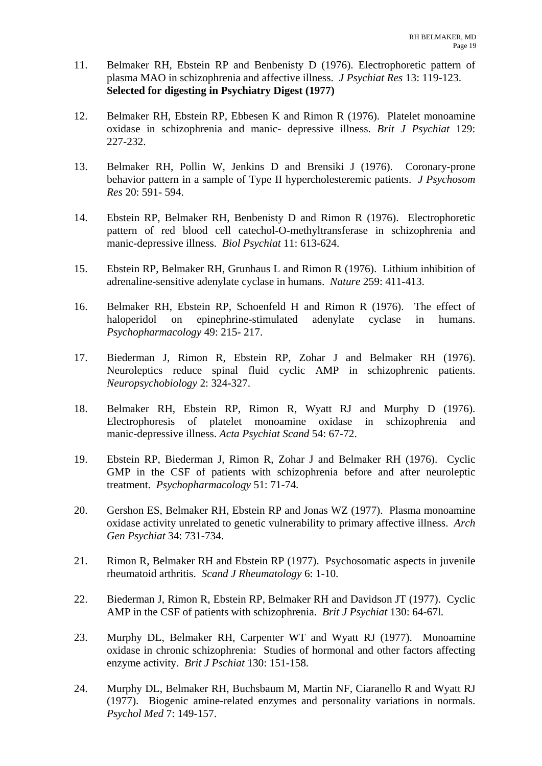- 11. Belmaker RH, Ebstein RP and Benbenisty D (1976). Electrophoretic pattern of plasma MAO in schizophrenia and affective illness. *J Psychiat Res* 13: 119-123.  **Selected for digesting in Psychiatry Digest (1977)**
- 12. Belmaker RH, Ebstein RP, Ebbesen K and Rimon R (1976). Platelet monoamine oxidase in schizophrenia and manic- depressive illness. *Brit J Psychiat* 129: 227-232.
- 13. Belmaker RH, Pollin W, Jenkins D and Brensiki J (1976). Coronary-prone behavior pattern in a sample of Type II hypercholesteremic patients. *J Psychosom Res* 20: 591- 594.
- 14. Ebstein RP, Belmaker RH, Benbenisty D and Rimon R (1976). Electrophoretic pattern of red blood cell catechol-O-methyltransferase in schizophrenia and manic-depressive illness. *Biol Psychiat* 11: 613-624.
- 15. Ebstein RP, Belmaker RH, Grunhaus L and Rimon R (1976). Lithium inhibition of adrenaline-sensitive adenylate cyclase in humans. *Nature* 259: 411-413.
- 16. Belmaker RH, Ebstein RP, Schoenfeld H and Rimon R (1976). The effect of haloperidol on epinephrine-stimulated adenylate cyclase in humans. *Psychopharmacology* 49: 215- 217.
- 17. Biederman J, Rimon R, Ebstein RP, Zohar J and Belmaker RH (1976). Neuroleptics reduce spinal fluid cyclic AMP in schizophrenic patients. *Neuropsychobiology* 2: 324-327.
- 18. Belmaker RH, Ebstein RP, Rimon R, Wyatt RJ and Murphy D (1976). Electrophoresis of platelet monoamine oxidase in schizophrenia and manic-depressive illness. *Acta Psychiat Scand* 54: 67-72.
- 19. Ebstein RP, Biederman J, Rimon R, Zohar J and Belmaker RH (1976). Cyclic GMP in the CSF of patients with schizophrenia before and after neuroleptic treatment. *Psychopharmacology* 51: 71-74.
- 20. Gershon ES, Belmaker RH, Ebstein RP and Jonas WZ (1977). Plasma monoamine oxidase activity unrelated to genetic vulnerability to primary affective illness. *Arch Gen Psychiat* 34: 731-734.
- 21. Rimon R, Belmaker RH and Ebstein RP (1977). Psychosomatic aspects in juvenile rheumatoid arthritis. *Scand J Rheumatology* 6: 1-10.
- 22. Biederman J, Rimon R, Ebstein RP, Belmaker RH and Davidson JT (1977). Cyclic AMP in the CSF of patients with schizophrenia. *Brit J Psychiat* 130: 64-67l.
- 23. Murphy DL, Belmaker RH, Carpenter WT and Wyatt RJ (1977). Monoamine oxidase in chronic schizophrenia: Studies of hormonal and other factors affecting enzyme activity. *Brit J Pschiat* 130: 151-158.
- 24. Murphy DL, Belmaker RH, Buchsbaum M, Martin NF, Ciaranello R and Wyatt RJ (1977). Biogenic amine-related enzymes and personality variations in normals. *Psychol Med* 7: 149-157.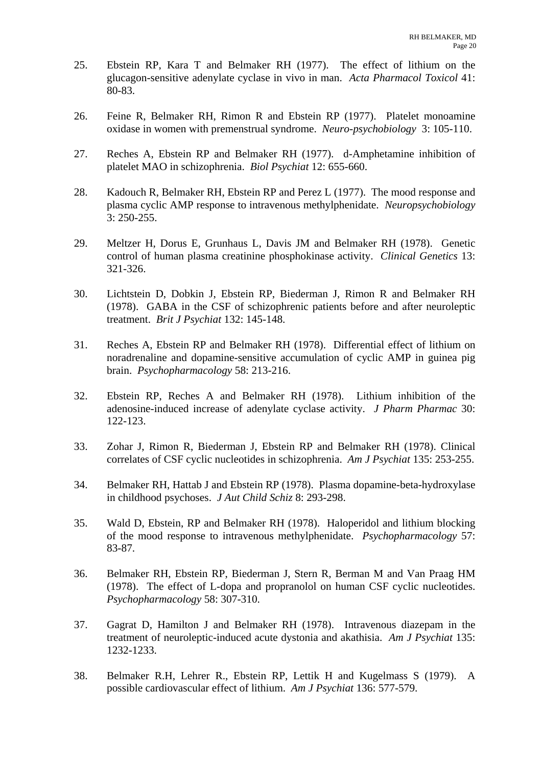- 25. Ebstein RP, Kara T and Belmaker RH (1977). The effect of lithium on the glucagon-sensitive adenylate cyclase in vivo in man. *Acta Pharmacol Toxicol* 41: 80-83.
- 26. Feine R, Belmaker RH, Rimon R and Ebstein RP (1977). Platelet monoamine oxidase in women with premenstrual syndrome. *Neuro-psychobiology* 3: 105-110.
- 27. Reches A, Ebstein RP and Belmaker RH (1977). d-Amphetamine inhibition of platelet MAO in schizophrenia. *Biol Psychiat* 12: 655-660.
- 28. Kadouch R, Belmaker RH, Ebstein RP and Perez L (1977). The mood response and plasma cyclic AMP response to intravenous methylphenidate. *Neuropsychobiology*  3: 250-255.
- 29. Meltzer H, Dorus E, Grunhaus L, Davis JM and Belmaker RH (1978). Genetic control of human plasma creatinine phosphokinase activity. *Clinical Genetics* 13: 321-326.
- 30. Lichtstein D, Dobkin J, Ebstein RP, Biederman J, Rimon R and Belmaker RH (1978). GABA in the CSF of schizophrenic patients before and after neuroleptic treatment. *Brit J Psychiat* 132: 145-148.
- 31. Reches A, Ebstein RP and Belmaker RH (1978). Differential effect of lithium on noradrenaline and dopamine-sensitive accumulation of cyclic AMP in guinea pig brain. *Psychopharmacology* 58: 213-216.
- 32. Ebstein RP, Reches A and Belmaker RH (1978). Lithium inhibition of the adenosine-induced increase of adenylate cyclase activity. *J Pharm Pharmac* 30: 122-123.
- 33. Zohar J, Rimon R, Biederman J, Ebstein RP and Belmaker RH (1978). Clinical correlates of CSF cyclic nucleotides in schizophrenia. *Am J Psychiat* 135: 253-255.
- 34. Belmaker RH, Hattab J and Ebstein RP (1978). Plasma dopamine-beta-hydroxylase in childhood psychoses. *J Aut Child Schiz* 8: 293-298.
- 35. Wald D, Ebstein, RP and Belmaker RH (1978). Haloperidol and lithium blocking of the mood response to intravenous methylphenidate. *Psychopharmacology* 57: 83-87.
- 36. Belmaker RH, Ebstein RP, Biederman J, Stern R, Berman M and Van Praag HM (1978). The effect of L-dopa and propranolol on human CSF cyclic nucleotides. *Psychopharmacology* 58: 307-310.
- 37. Gagrat D, Hamilton J and Belmaker RH (1978). Intravenous diazepam in the treatment of neuroleptic-induced acute dystonia and akathisia. *Am J Psychiat* 135: 1232-1233.
- 38. Belmaker R.H, Lehrer R., Ebstein RP, Lettik H and Kugelmass S (1979). A possible cardiovascular effect of lithium. *Am J Psychiat* 136: 577-579.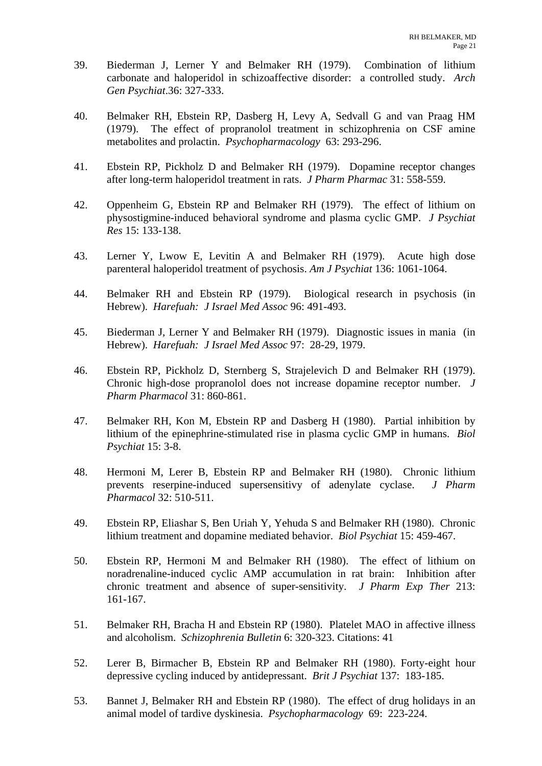- 39. Biederman J, Lerner Y and Belmaker RH (1979). Combination of lithium carbonate and haloperidol in schizoaffective disorder: a controlled study. *Arch Gen Psychiat*.36: 327-333.
- 40. Belmaker RH, Ebstein RP, Dasberg H, Levy A, Sedvall G and van Praag HM (1979). The effect of propranolol treatment in schizophrenia on CSF amine metabolites and prolactin. *Psychopharmacology* 63: 293-296.
- 41. Ebstein RP, Pickholz D and Belmaker RH (1979). Dopamine receptor changes after long-term haloperidol treatment in rats. *J Pharm Pharmac* 31: 558-559.
- 42. Oppenheim G, Ebstein RP and Belmaker RH (1979). The effect of lithium on physostigmine-induced behavioral syndrome and plasma cyclic GMP. *J Psychiat Res* 15: 133-138.
- 43. Lerner Y, Lwow E, Levitin A and Belmaker RH (1979). Acute high dose parenteral haloperidol treatment of psychosis. *Am J Psychiat* 136: 1061-1064.
- 44. Belmaker RH and Ebstein RP (1979). Biological research in psychosis (in Hebrew). *Harefuah: J Israel Med Assoc* 96: 491-493.
- 45. Biederman J, Lerner Y and Belmaker RH (1979). Diagnostic issues in mania (in Hebrew). *Harefuah: J Israel Med Assoc* 97: 28-29, 1979.
- 46. Ebstein RP, Pickholz D, Sternberg S, Strajelevich D and Belmaker RH (1979). Chronic high-dose propranolol does not increase dopamine receptor number. *J Pharm Pharmacol* 31: 860-861.
- 47. Belmaker RH, Kon M, Ebstein RP and Dasberg H (1980). Partial inhibition by lithium of the epinephrine-stimulated rise in plasma cyclic GMP in humans. *Biol Psychiat* 15: 3-8.
- 48. Hermoni M, Lerer B, Ebstein RP and Belmaker RH (1980). Chronic lithium prevents reserpine-induced supersensitivy of adenylate cyclase. *J Pharm Pharmacol* 32: 510-511.
- 49. Ebstein RP, Eliashar S, Ben Uriah Y, Yehuda S and Belmaker RH (1980). Chronic lithium treatment and dopamine mediated behavior. *Biol Psychiat* 15: 459-467.
- 50. Ebstein RP, Hermoni M and Belmaker RH (1980). The effect of lithium on noradrenaline-induced cyclic AMP accumulation in rat brain: Inhibition after chronic treatment and absence of super-sensitivity. *J Pharm Exp Ther* 213: 161-167.
- 51. Belmaker RH, Bracha H and Ebstein RP (1980). Platelet MAO in affective illness and alcoholism. *Schizophrenia Bulletin* 6: 320-323. Citations: 41
- 52. Lerer B, Birmacher B, Ebstein RP and Belmaker RH (1980). Forty-eight hour depressive cycling induced by antidepressant. *Brit J Psychiat* 137: 183-185.
- 53. Bannet J, Belmaker RH and Ebstein RP (1980). The effect of drug holidays in an animal model of tardive dyskinesia. *Psychopharmacology* 69: 223-224.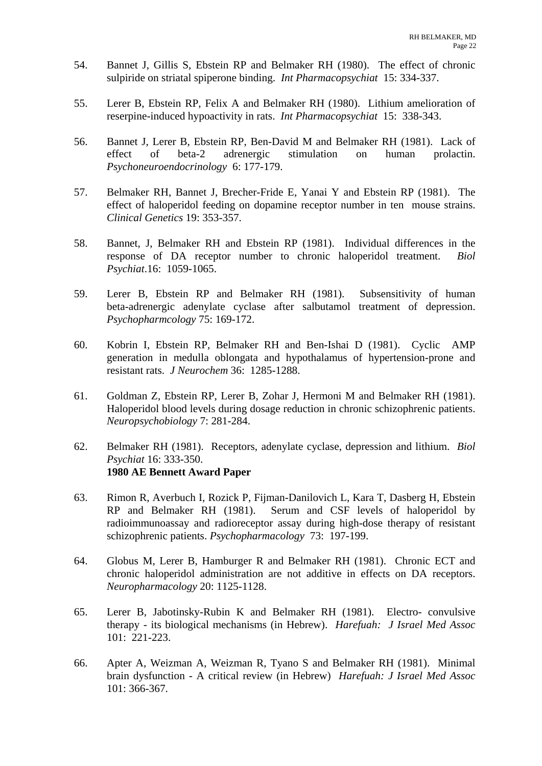- 54. Bannet J, Gillis S, Ebstein RP and Belmaker RH (1980). The effect of chronic sulpiride on striatal spiperone binding. *Int Pharmacopsychiat* 15: 334-337.
- 55. Lerer B, Ebstein RP, Felix A and Belmaker RH (1980). Lithium amelioration of reserpine-induced hypoactivity in rats. *Int Pharmacopsychiat* 15: 338-343.
- 56. Bannet J, Lerer B, Ebstein RP, Ben-David M and Belmaker RH (1981). Lack of effect of beta-2 adrenergic stimulation on human prolactin. *Psychoneuroendocrinology* 6: 177-179.
- 57. Belmaker RH, Bannet J, Brecher-Fride E, Yanai Y and Ebstein RP (1981). The effect of haloperidol feeding on dopamine receptor number in ten mouse strains. *Clinical Genetics* 19: 353-357.
- 58. Bannet, J, Belmaker RH and Ebstein RP (1981). Individual differences in the response of DA receptor number to chronic haloperidol treatment. *Biol Psychiat*.16: 1059-1065.
- 59. Lerer B, Ebstein RP and Belmaker RH (1981). Subsensitivity of human beta-adrenergic adenylate cyclase after salbutamol treatment of depression. *Psychopharmcology* 75: 169-172.
- 60. Kobrin I, Ebstein RP, Belmaker RH and Ben-Ishai D (1981). Cyclic AMP generation in medulla oblongata and hypothalamus of hypertension-prone and resistant rats. *J Neurochem* 36: 1285-1288.
- 61. Goldman Z, Ebstein RP, Lerer B, Zohar J, Hermoni M and Belmaker RH (1981). Haloperidol blood levels during dosage reduction in chronic schizophrenic patients. *Neuropsychobiology* 7: 281-284.
- 62. Belmaker RH (1981). Receptors, adenylate cyclase, depression and lithium. *Biol Psychiat* 16: 333-350.  **1980 AE Bennett Award Paper**
- 63. Rimon R, Averbuch I, Rozick P, Fijman-Danilovich L, Kara T, Dasberg H, Ebstein RP and Belmaker RH (1981). Serum and CSF levels of haloperidol by radioimmunoassay and radioreceptor assay during high-dose therapy of resistant schizophrenic patients. *Psychopharmacology* 73: 197-199.
- 64. Globus M, Lerer B, Hamburger R and Belmaker RH (1981). Chronic ECT and chronic haloperidol administration are not additive in effects on DA receptors. *Neuropharmacology* 20: 1125-1128.
- 65. Lerer B, Jabotinsky-Rubin K and Belmaker RH (1981). Electro- convulsive therapy - its biological mechanisms (in Hebrew). *Harefuah: J Israel Med Assoc* 101: 221-223.
- 66. Apter A, Weizman A, Weizman R, Tyano S and Belmaker RH (1981). Minimal brain dysfunction - A critical review (in Hebrew) *Harefuah: J Israel Med Assoc* 101: 366-367.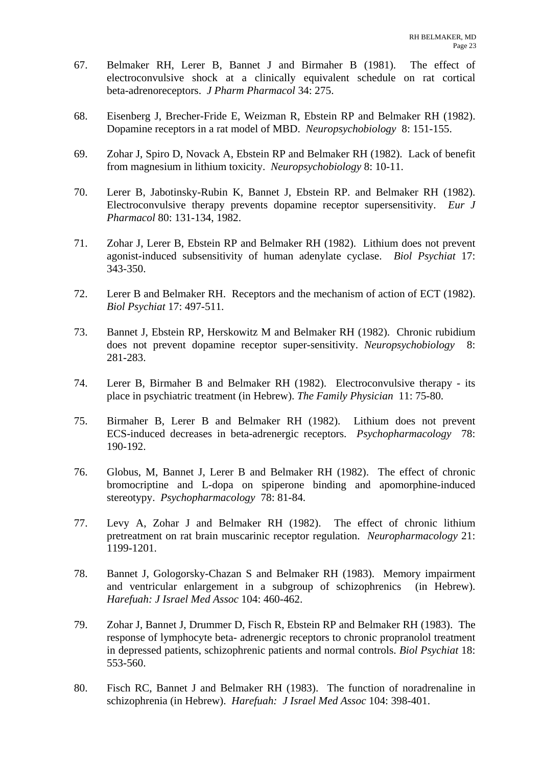- 67. Belmaker RH, Lerer B, Bannet J and Birmaher B (1981). The effect of electroconvulsive shock at a clinically equivalent schedule on rat cortical beta-adrenoreceptors. *J Pharm Pharmacol* 34: 275.
- 68. Eisenberg J, Brecher-Fride E, Weizman R, Ebstein RP and Belmaker RH (1982). Dopamine receptors in a rat model of MBD. *Neuropsychobiology* 8: 151-155.
- 69. Zohar J, Spiro D, Novack A, Ebstein RP and Belmaker RH (1982). Lack of benefit from magnesium in lithium toxicity. *Neuropsychobiology* 8: 10-11.
- 70. Lerer B, Jabotinsky-Rubin K, Bannet J, Ebstein RP. and Belmaker RH (1982). Electroconvulsive therapy prevents dopamine receptor supersensitivity. *Eur J Pharmacol* 80: 131-134, 1982.
- 71. Zohar J, Lerer B, Ebstein RP and Belmaker RH (1982). Lithium does not prevent agonist-induced subsensitivity of human adenylate cyclase. *Biol Psychiat* 17: 343-350.
- 72. Lerer B and Belmaker RH. Receptors and the mechanism of action of ECT (1982). *Biol Psychiat* 17: 497-511.
- 73. Bannet J, Ebstein RP, Herskowitz M and Belmaker RH (1982). Chronic rubidium does not prevent dopamine receptor super-sensitivity. *Neuropsychobiology* 8: 281-283.
- 74. Lerer B, Birmaher B and Belmaker RH (1982). Electroconvulsive therapy its place in psychiatric treatment (in Hebrew). *The Family Physician* 11: 75-80.
- 75. Birmaher B, Lerer B and Belmaker RH (1982). Lithium does not prevent ECS-induced decreases in beta-adrenergic receptors. *Psychopharmacology* 78: 190-192.
- 76. Globus, M, Bannet J, Lerer B and Belmaker RH (1982). The effect of chronic bromocriptine and L-dopa on spiperone binding and apomorphine-induced stereotypy. *Psychopharmacology* 78: 81-84.
- 77. Levy A, Zohar J and Belmaker RH (1982). The effect of chronic lithium pretreatment on rat brain muscarinic receptor regulation. *Neuropharmacology* 21: 1199-1201.
- 78. Bannet J, Gologorsky-Chazan S and Belmaker RH (1983). Memory impairment and ventricular enlargement in a subgroup of schizophrenics (in Hebrew). *Harefuah: J Israel Med Assoc* 104: 460-462.
- 79. Zohar J, Bannet J, Drummer D, Fisch R, Ebstein RP and Belmaker RH (1983). The response of lymphocyte beta- adrenergic receptors to chronic propranolol treatment in depressed patients, schizophrenic patients and normal controls. *Biol Psychiat* 18: 553-560.
- 80. Fisch RC, Bannet J and Belmaker RH (1983). The function of noradrenaline in schizophrenia (in Hebrew). *Harefuah: J Israel Med Assoc* 104: 398-401.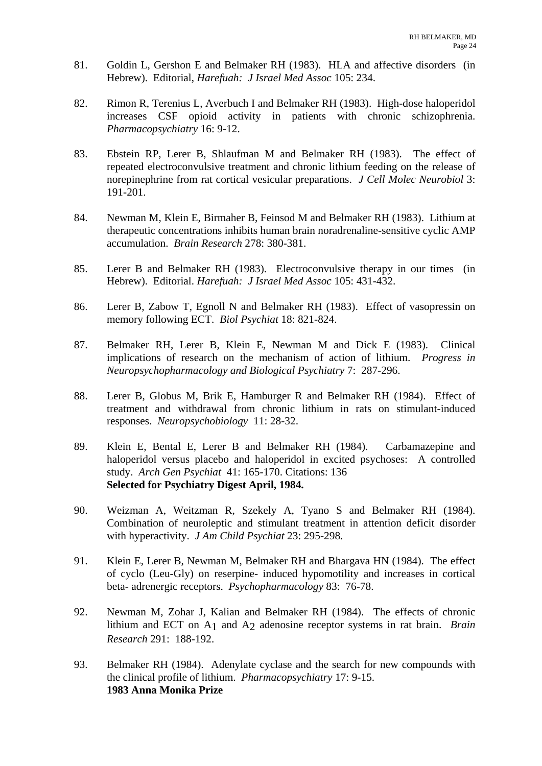- 81. Goldin L, Gershon E and Belmaker RH (1983). HLA and affective disorders (in Hebrew). Editorial, *Harefuah: J Israel Med Assoc* 105: 234.
- 82. Rimon R, Terenius L, Averbuch I and Belmaker RH (1983). High-dose haloperidol increases CSF opioid activity in patients with chronic schizophrenia. *Pharmacopsychiatry* 16: 9-12.
- 83. Ebstein RP, Lerer B, Shlaufman M and Belmaker RH (1983). The effect of repeated electroconvulsive treatment and chronic lithium feeding on the release of norepinephrine from rat cortical vesicular preparations. *J Cell Molec Neurobiol* 3: 191-201.
- 84. Newman M, Klein E, Birmaher B, Feinsod M and Belmaker RH (1983). Lithium at therapeutic concentrations inhibits human brain noradrenaline-sensitive cyclic AMP accumulation. *Brain Research* 278: 380-381.
- 85. Lerer B and Belmaker RH (1983). Electroconvulsive therapy in our times (in Hebrew). Editorial. *Harefuah: J Israel Med Assoc* 105: 431-432.
- 86. Lerer B, Zabow T, Egnoll N and Belmaker RH (1983). Effect of vasopressin on memory following ECT. *Biol Psychiat* 18: 821-824.
- 87. Belmaker RH, Lerer B, Klein E, Newman M and Dick E (1983). Clinical implications of research on the mechanism of action of lithium. *Progress in Neuropsychopharmacology and Biological Psychiatry* 7: 287-296.
- 88. Lerer B, Globus M, Brik E, Hamburger R and Belmaker RH (1984). Effect of treatment and withdrawal from chronic lithium in rats on stimulant-induced responses. *Neuropsychobiology* 11: 28-32.
- 89. Klein E, Bental E, Lerer B and Belmaker RH (1984). Carbamazepine and haloperidol versus placebo and haloperidol in excited psychoses: A controlled study. *Arch Gen Psychiat* 41: 165-170. Citations: 136  **Selected for Psychiatry Digest April, 1984.**
- 90. Weizman A, Weitzman R, Szekely A, Tyano S and Belmaker RH (1984). Combination of neuroleptic and stimulant treatment in attention deficit disorder with hyperactivity. *J Am Child Psychiat* 23: 295-298.
- 91. Klein E, Lerer B, Newman M, Belmaker RH and Bhargava HN (1984). The effect of cyclo (Leu-Gly) on reserpine- induced hypomotility and increases in cortical beta- adrenergic receptors. *Psychopharmacology* 83: 76-78.
- 92. Newman M, Zohar J, Kalian and Belmaker RH (1984). The effects of chronic lithium and ECT on A1 and A2 adenosine receptor systems in rat brain. *Brain Research* 291: 188-192.
- 93. Belmaker RH (1984). Adenylate cyclase and the search for new compounds with the clinical profile of lithium. *Pharmacopsychiatry* 17: 9-15.  **1983 Anna Monika Prize**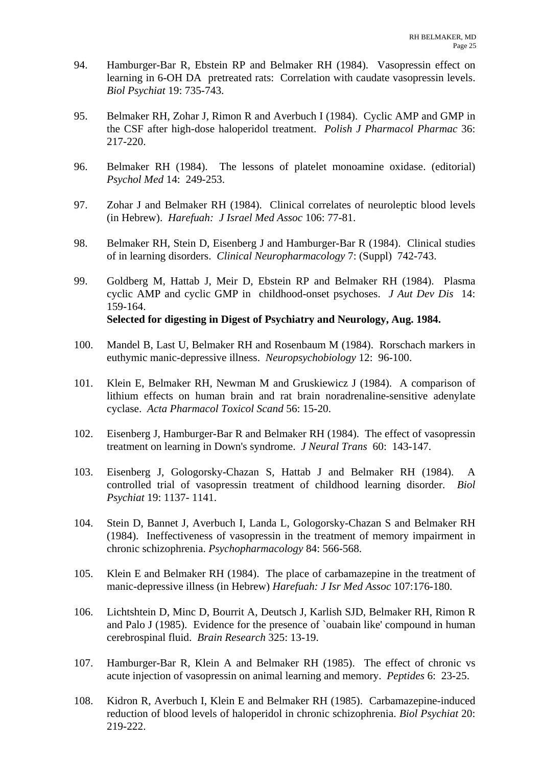- 94. Hamburger-Bar R, Ebstein RP and Belmaker RH (1984). Vasopressin effect on learning in 6-OH DA pretreated rats: Correlation with caudate vasopressin levels. *Biol Psychiat* 19: 735-743.
- 95. Belmaker RH, Zohar J, Rimon R and Averbuch I (1984). Cyclic AMP and GMP in the CSF after high-dose haloperidol treatment. *Polish J Pharmacol Pharmac* 36: 217-220.
- 96. Belmaker RH (1984). The lessons of platelet monoamine oxidase. (editorial) *Psychol Med* 14: 249-253.
- 97. Zohar J and Belmaker RH (1984). Clinical correlates of neuroleptic blood levels (in Hebrew). *Harefuah: J Israel Med Assoc* 106: 77-81.
- 98. Belmaker RH, Stein D, Eisenberg J and Hamburger-Bar R (1984). Clinical studies of in learning disorders. *Clinical Neuropharmacology* 7: (Suppl) 742-743.
- 99. Goldberg M, Hattab J, Meir D, Ebstein RP and Belmaker RH (1984). Plasma cyclic AMP and cyclic GMP in childhood-onset psychoses. *J Aut Dev Dis* 14: 159-164.  **Selected for digesting in Digest of Psychiatry and Neurology, Aug. 1984.**
- 100. Mandel B, Last U, Belmaker RH and Rosenbaum M (1984). Rorschach markers in euthymic manic-depressive illness. *Neuropsychobiology* 12: 96-100.
- 101. Klein E, Belmaker RH, Newman M and Gruskiewicz J (1984). A comparison of lithium effects on human brain and rat brain noradrenaline-sensitive adenylate cyclase. *Acta Pharmacol Toxicol Scand* 56: 15-20.
- 102. Eisenberg J, Hamburger-Bar R and Belmaker RH (1984). The effect of vasopressin treatment on learning in Down's syndrome. *J Neural Trans* 60: 143-147.
- 103. Eisenberg J, Gologorsky-Chazan S, Hattab J and Belmaker RH (1984). A controlled trial of vasopressin treatment of childhood learning disorder. *Biol Psychiat* 19: 1137- 1141.
- 104. Stein D, Bannet J, Averbuch I, Landa L, Gologorsky-Chazan S and Belmaker RH (1984). Ineffectiveness of vasopressin in the treatment of memory impairment in chronic schizophrenia. *Psychopharmacology* 84: 566-568.
- 105. Klein E and Belmaker RH (1984). The place of carbamazepine in the treatment of manic-depressive illness (in Hebrew) *Harefuah: J Isr Med Assoc* 107:176-180.
- 106. Lichtshtein D, Minc D, Bourrit A, Deutsch J, Karlish SJD, Belmaker RH, Rimon R and Palo J (1985). Evidence for the presence of `ouabain like' compound in human cerebrospinal fluid. *Brain Research* 325: 13-19.
- 107. Hamburger-Bar R, Klein A and Belmaker RH (1985). The effect of chronic vs acute injection of vasopressin on animal learning and memory. *Peptides* 6: 23-25.
- 108. Kidron R, Averbuch I, Klein E and Belmaker RH (1985). Carbamazepine-induced reduction of blood levels of haloperidol in chronic schizophrenia. *Biol Psychiat* 20: 219-222.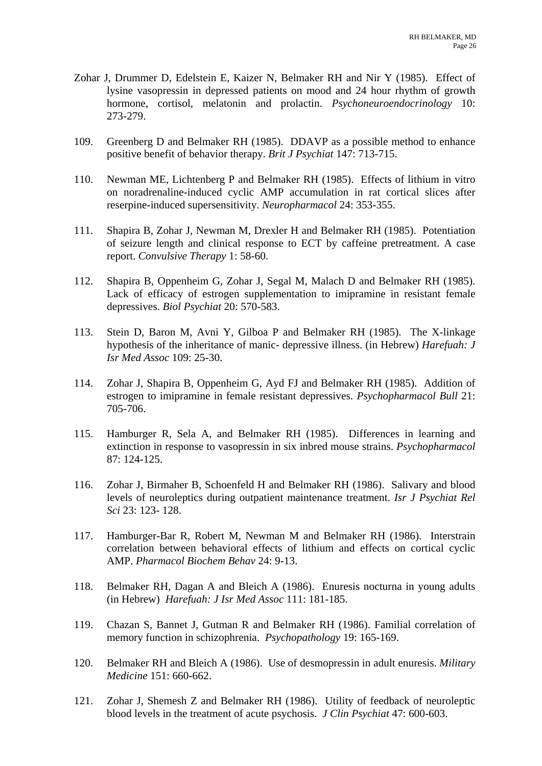- Zohar J, Drummer D, Edelstein E, Kaizer N, Belmaker RH and Nir Y (1985). Effect of lysine vasopressin in depressed patients on mood and 24 hour rhythm of growth hormone, cortisol, melatonin and prolactin. *Psychoneuroendocrinology* 10: 273-279.
- 109. Greenberg D and Belmaker RH (1985). DDAVP as a possible method to enhance positive benefit of behavior therapy. *Brit J Psychiat* 147: 713-715.
- 110. Newman ME, Lichtenberg P and Belmaker RH (1985). Effects of lithium in vitro on noradrenaline-induced cyclic AMP accumulation in rat cortical slices after reserpine-induced supersensitivity. *Neuropharmacol* 24: 353-355.
- 111. Shapira B, Zohar J, Newman M, Drexler H and Belmaker RH (1985). Potentiation of seizure length and clinical response to ECT by caffeine pretreatment. A case report. *Convulsive Therapy* 1: 58-60.
- 112. Shapira B, Oppenheim G, Zohar J, Segal M, Malach D and Belmaker RH (1985). Lack of efficacy of estrogen supplementation to imipramine in resistant female depressives. *Biol Psychiat* 20: 570-583.
- 113. Stein D, Baron M, Avni Y, Gilboa P and Belmaker RH (1985). The X-linkage hypothesis of the inheritance of manic- depressive illness. (in Hebrew) *Harefuah: J Isr Med Assoc* 109: 25-30.
- 114. Zohar J, Shapira B, Oppenheim G, Ayd FJ and Belmaker RH (1985). Addition of estrogen to imipramine in female resistant depressives. *Psychopharmacol Bull* 21: 705-706.
- 115. Hamburger R, Sela A, and Belmaker RH (1985). Differences in learning and extinction in response to vasopressin in six inbred mouse strains. *Psychopharmacol*  87: 124-125.
- 116. Zohar J, Birmaher B, Schoenfeld H and Belmaker RH (1986). Salivary and blood levels of neuroleptics during outpatient maintenance treatment. *Isr J Psychiat Rel Sci* 23: 123- 128.
- 117. Hamburger-Bar R, Robert M, Newman M and Belmaker RH (1986). Interstrain correlation between behavioral effects of lithium and effects on cortical cyclic AMP. *Pharmacol Biochem Behav* 24: 9-13.
- 118. Belmaker RH, Dagan A and Bleich A (1986). Enuresis nocturna in young adults (in Hebrew) *Harefuah: J Isr Med Assoc* 111: 181-185.
- 119. Chazan S, Bannet J, Gutman R and Belmaker RH (1986). Familial correlation of memory function in schizophrenia. *Psychopathology* 19: 165-169.
- 120. Belmaker RH and Bleich A (1986). Use of desmopressin in adult enuresis. *Military Medicine* 151: 660-662.
- 121. Zohar J, Shemesh Z and Belmaker RH (1986). Utility of feedback of neuroleptic blood levels in the treatment of acute psychosis. *J Clin Psychiat* 47: 600-603.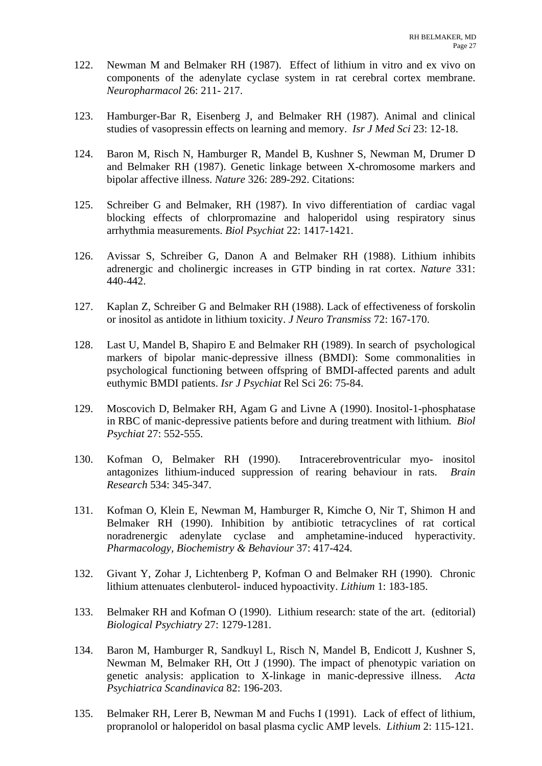- 122. Newman M and Belmaker RH (1987). Effect of lithium in vitro and ex vivo on components of the adenylate cyclase system in rat cerebral cortex membrane. *Neuropharmacol* 26: 211- 217.
- 123. Hamburger-Bar R, Eisenberg J, and Belmaker RH (1987). Animal and clinical studies of vasopressin effects on learning and memory. *Isr J Med Sci* 23: 12-18.
- 124. Baron M, Risch N, Hamburger R, Mandel B, Kushner S, Newman M, Drumer D and Belmaker RH (1987). Genetic linkage between X-chromosome markers and bipolar affective illness. *Nature* 326: 289-292. Citations:
- 125. Schreiber G and Belmaker, RH (1987). In vivo differentiation of cardiac vagal blocking effects of chlorpromazine and haloperidol using respiratory sinus arrhythmia measurements. *Biol Psychiat* 22: 1417-1421.
- 126. Avissar S, Schreiber G, Danon A and Belmaker RH (1988). Lithium inhibits adrenergic and cholinergic increases in GTP binding in rat cortex. *Nature* 331: 440-442.
- 127. Kaplan Z, Schreiber G and Belmaker RH (1988). Lack of effectiveness of forskolin or inositol as antidote in lithium toxicity. *J Neuro Transmiss* 72: 167-170.
- 128. Last U, Mandel B, Shapiro E and Belmaker RH (1989). In search of psychological markers of bipolar manic-depressive illness (BMDI): Some commonalities in psychological functioning between offspring of BMDI-affected parents and adult euthymic BMDI patients. *Isr J Psychiat* Rel Sci 26: 75-84.
- 129. Moscovich D, Belmaker RH, Agam G and Livne A (1990). Inositol-1-phosphatase in RBC of manic-depressive patients before and during treatment with lithium*. Biol Psychiat* 27: 552-555.
- 130. Kofman O, Belmaker RH (1990). Intracerebroventricular myo- inositol antagonizes lithium-induced suppression of rearing behaviour in rats. *Brain Research* 534: 345-347.
- 131. Kofman O, Klein E, Newman M, Hamburger R, Kimche O, Nir T, Shimon H and Belmaker RH (1990). Inhibition by antibiotic tetracyclines of rat cortical noradrenergic adenylate cyclase and amphetamine-induced hyperactivity. *Pharmacology, Biochemistry & Behaviour* 37: 417-424.
- 132. Givant Y, Zohar J, Lichtenberg P, Kofman O and Belmaker RH (1990). Chronic lithium attenuates clenbuterol- induced hypoactivity. *Lithium* 1: 183-185.
- 133. Belmaker RH and Kofman O (1990). Lithium research: state of the art. (editorial) *Biological Psychiatry* 27: 1279-1281.
- 134. Baron M, Hamburger R, Sandkuyl L, Risch N, Mandel B, Endicott J, Kushner S, Newman M, Belmaker RH, Ott J (1990). The impact of phenotypic variation on genetic analysis: application to X-linkage in manic-depressive illness. *Acta Psychiatrica Scandinavica* 82: 196-203.
- 135. Belmaker RH, Lerer B, Newman M and Fuchs I (1991). Lack of effect of lithium, propranolol or haloperidol on basal plasma cyclic AMP levels. *Lithium* 2: 115-121.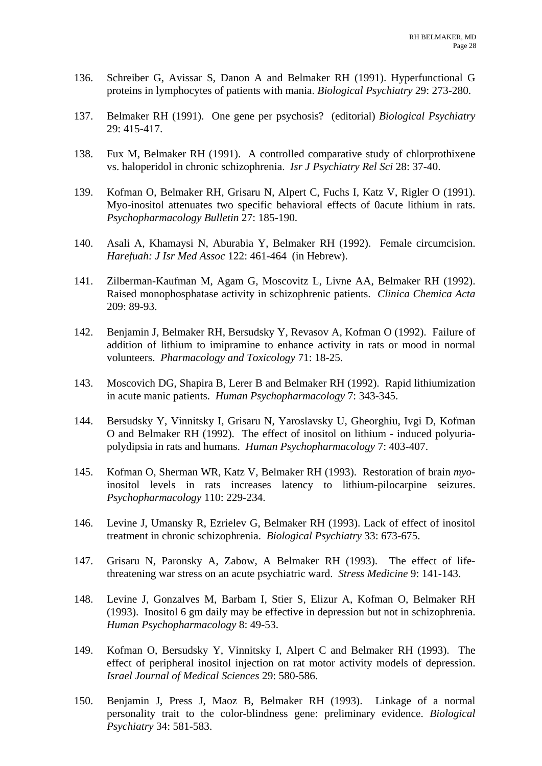- 136. Schreiber G, Avissar S, Danon A and Belmaker RH (1991). Hyperfunctional G proteins in lymphocytes of patients with mania. *Biological Psychiatry* 29: 273-280.
- 137. Belmaker RH (1991). One gene per psychosis? (editorial) *Biological Psychiatry* 29: 415-417.
- 138. Fux M, Belmaker RH (1991). A controlled comparative study of chlorprothixene vs. haloperidol in chronic schizophrenia. *Isr J Psychiatry Rel Sci* 28: 37-40.
- 139. Kofman O, Belmaker RH, Grisaru N, Alpert C, Fuchs I, Katz V, Rigler O (1991). Myo-inositol attenuates two specific behavioral effects of 0acute lithium in rats. *Psychopharmacology Bulletin* 27: 185-190.
- 140. Asali A, Khamaysi N, Aburabia Y, Belmaker RH (1992). Female circumcision. *Harefuah: J Isr Med Assoc* 122: 461-464 (in Hebrew).
- 141. Zilberman-Kaufman M, Agam G, Moscovitz L, Livne AA, Belmaker RH (1992). Raised monophosphatase activity in schizophrenic patients. *Clinica Chemica Acta* 209: 89-93.
- 142. Benjamin J, Belmaker RH, Bersudsky Y, Revasov A, Kofman O (1992). Failure of addition of lithium to imipramine to enhance activity in rats or mood in normal volunteers. *Pharmacology and Toxicology* 71: 18-25.
- 143. Moscovich DG, Shapira B, Lerer B and Belmaker RH (1992). Rapid lithiumization in acute manic patients. *Human Psychopharmacology* 7: 343-345.
- 144. Bersudsky Y, Vinnitsky I, Grisaru N, Yaroslavsky U, Gheorghiu, Ivgi D, Kofman O and Belmaker RH (1992). The effect of inositol on lithium - induced polyuriapolydipsia in rats and humans. *Human Psychopharmacology* 7: 403-407.
- 145. Kofman O, Sherman WR, Katz V, Belmaker RH (1993). Restoration of brain *myo*inositol levels in rats increases latency to lithium-pilocarpine seizures. *Psychopharmacology* 110: 229-234.
- 146. Levine J, Umansky R, Ezrielev G, Belmaker RH (1993). Lack of effect of inositol treatment in chronic schizophrenia. *Biological Psychiatry* 33: 673-675.
- 147. Grisaru N, Paronsky A, Zabow, A Belmaker RH (1993). The effect of lifethreatening war stress on an acute psychiatric ward. *Stress Medicine* 9: 141-143.
- 148. Levine J, Gonzalves M, Barbam I, Stier S, Elizur A, Kofman O, Belmaker RH (1993). Inositol 6 gm daily may be effective in depression but not in schizophrenia. *Human Psychopharmacology* 8: 49-53.
- 149. Kofman O, Bersudsky Y, Vinnitsky I, Alpert C and Belmaker RH (1993). The effect of peripheral inositol injection on rat motor activity models of depression. *Israel Journal of Medical Sciences* 29: 580-586.
- 150. Benjamin J, Press J, Maoz B, Belmaker RH (1993). Linkage of a normal personality trait to the color-blindness gene: preliminary evidence. *Biological Psychiatry* 34: 581-583.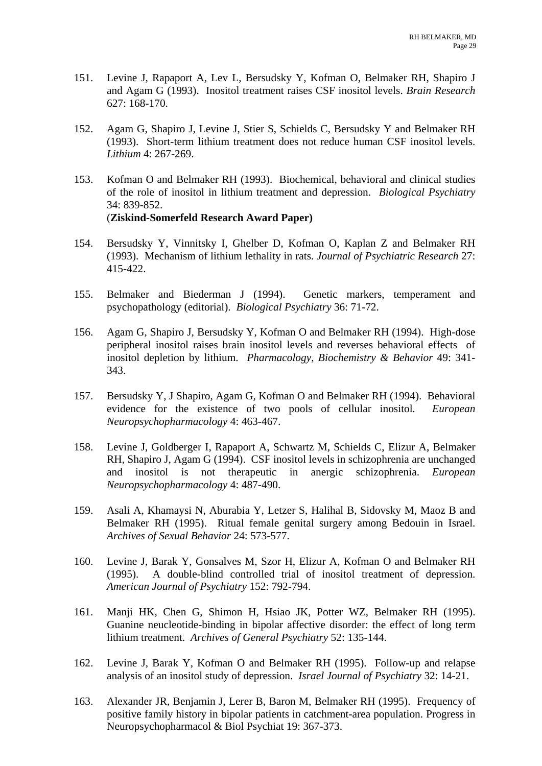- 151. Levine J, Rapaport A, Lev L, Bersudsky Y, Kofman O, Belmaker RH, Shapiro J and Agam G (1993). Inositol treatment raises CSF inositol levels. *Brain Research* 627: 168-170.
- 152. Agam G, Shapiro J, Levine J, Stier S, Schields C, Bersudsky Y and Belmaker RH (1993). Short-term lithium treatment does not reduce human CSF inositol levels. *Lithium* 4: 267-269.
- 153. Kofman O and Belmaker RH (1993). Biochemical, behavioral and clinical studies of the role of inositol in lithium treatment and depression. *Biological Psychiatry* 34: 839-852. (**Ziskind-Somerfeld Research Award Paper)**
- 154. Bersudsky Y, Vinnitsky I, Ghelber D, Kofman O, Kaplan Z and Belmaker RH (1993). Mechanism of lithium lethality in rats. *Journal of Psychiatric Research* 27: 415-422.
- 155. Belmaker and Biederman J (1994). Genetic markers, temperament and psychopathology (editorial). *Biological Psychiatry* 36: 71-72.
- 156. Agam G, Shapiro J, Bersudsky Y, Kofman O and Belmaker RH (1994). High-dose peripheral inositol raises brain inositol levels and reverses behavioral effects of inositol depletion by lithium. *Pharmacology, Biochemistry & Behavior* 49: 341- 343.
- 157. Bersudsky Y, J Shapiro, Agam G, Kofman O and Belmaker RH (1994). Behavioral evidence for the existence of two pools of cellular inositol*. European Neuropsychopharmacology* 4: 463-467.
- 158. Levine J, Goldberger I, Rapaport A, Schwartz M, Schields C, Elizur A, Belmaker RH, Shapiro J, Agam G (1994). CSF inositol levels in schizophrenia are unchanged and inositol is not therapeutic in anergic schizophrenia. *European Neuropsychopharmacology* 4: 487-490.
- 159. Asali A, Khamaysi N, Aburabia Y, Letzer S, Halihal B, Sidovsky M, Maoz B and Belmaker RH (1995). Ritual female genital surgery among Bedouin in Israel. *Archives of Sexual Behavior* 24: 573-577.
- 160. Levine J, Barak Y, Gonsalves M, Szor H, Elizur A, Kofman O and Belmaker RH (1995). A double-blind controlled trial of inositol treatment of depression. *American Journal of Psychiatry* 152: 792-794.
- 161. Manji HK, Chen G, Shimon H, Hsiao JK, Potter WZ, Belmaker RH (1995). Guanine neucleotide-binding in bipolar affective disorder: the effect of long term lithium treatment. *Archives of General Psychiatry* 52: 135-144.
- 162. Levine J, Barak Y, Kofman O and Belmaker RH (1995). Follow-up and relapse analysis of an inositol study of depression. *Israel Journal of Psychiatry* 32: 14-21.
- 163. Alexander JR, Benjamin J, Lerer B, Baron M, Belmaker RH (1995). Frequency of positive family history in bipolar patients in catchment-area population. Progress in Neuropsychopharmacol & Biol Psychiat 19: 367-373.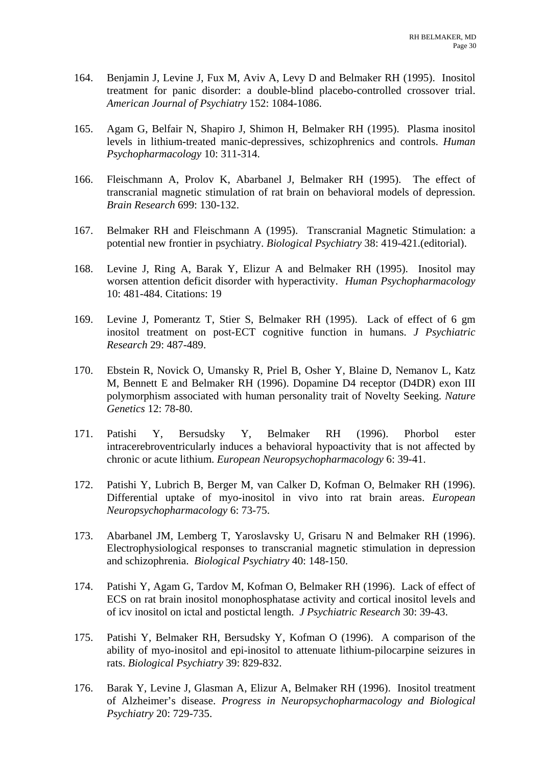- 164. Benjamin J, Levine J, Fux M, Aviv A, Levy D and Belmaker RH (1995). Inositol treatment for panic disorder: a double-blind placebo-controlled crossover trial. *American Journal of Psychiatry* 152: 1084-1086.
- 165. Agam G, Belfair N, Shapiro J, Shimon H, Belmaker RH (1995). Plasma inositol levels in lithium-treated manic-depressives, schizophrenics and controls. *Human Psychopharmacology* 10: 311-314.
- 166. Fleischmann A, Prolov K, Abarbanel J, Belmaker RH (1995). The effect of transcranial magnetic stimulation of rat brain on behavioral models of depression. *Brain Research* 699: 130-132.
- 167. Belmaker RH and Fleischmann A (1995). Transcranial Magnetic Stimulation: a potential new frontier in psychiatry. *Biological Psychiatry* 38: 419-421.(editorial).
- 168. Levine J, Ring A, Barak Y, Elizur A and Belmaker RH (1995). Inositol may worsen attention deficit disorder with hyperactivity. *Human Psychopharmacology*  10: 481-484. Citations: 19
- 169. Levine J, Pomerantz T, Stier S, Belmaker RH (1995). Lack of effect of 6 gm inositol treatment on post-ECT cognitive function in humans. *J Psychiatric Research* 29: 487-489.
- 170. Ebstein R, Novick O, Umansky R, Priel B, Osher Y, Blaine D, Nemanov L, Katz M, Bennett E and Belmaker RH (1996). Dopamine D4 receptor (D4DR) exon III polymorphism associated with human personality trait of Novelty Seeking. *Nature Genetics* 12: 78-80.
- 171. Patishi Y, Bersudsky Y, Belmaker RH (1996). Phorbol ester intracerebroventricularly induces a behavioral hypoactivity that is not affected by chronic or acute lithium. *European Neuropsychopharmacology* 6: 39-41.
- 172. Patishi Y, Lubrich B, Berger M, van Calker D, Kofman O, Belmaker RH (1996). Differential uptake of myo-inositol in vivo into rat brain areas. *European Neuropsychopharmacology* 6: 73-75.
- 173. Abarbanel JM, Lemberg T, Yaroslavsky U, Grisaru N and Belmaker RH (1996). Electrophysiological responses to transcranial magnetic stimulation in depression and schizophrenia. *Biological Psychiatry* 40: 148-150.
- 174. Patishi Y, Agam G, Tardov M, Kofman O, Belmaker RH (1996). Lack of effect of ECS on rat brain inositol monophosphatase activity and cortical inositol levels and of icv inositol on ictal and postictal length. *J Psychiatric Research* 30: 39-43.
- 175. Patishi Y, Belmaker RH, Bersudsky Y, Kofman O (1996). A comparison of the ability of myo-inositol and epi-inositol to attenuate lithium-pilocarpine seizures in rats. *Biological Psychiatry* 39: 829-832.
- 176. Barak Y, Levine J, Glasman A, Elizur A, Belmaker RH (1996). Inositol treatment of Alzheimer's disease. *Progress in Neuropsychopharmacology and Biological Psychiatry* 20: 729-735.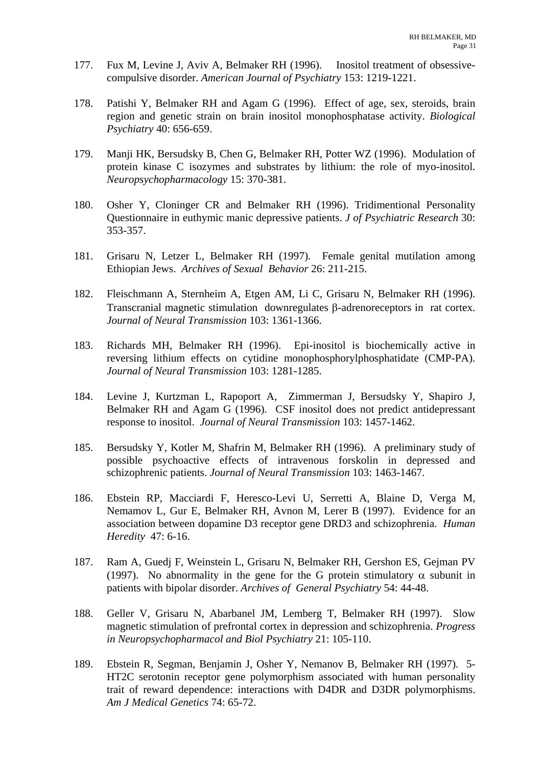- 177. Fux M, Levine J, Aviv A, Belmaker RH (1996). Inositol treatment of obsessivecompulsive disorder. *American Journal of Psychiatry* 153: 1219-1221.
- 178. Patishi Y, Belmaker RH and Agam G (1996). Effect of age, sex, steroids, brain region and genetic strain on brain inositol monophosphatase activity. *Biological Psychiatry* 40: 656-659.
- 179. Manji HK, Bersudsky B, Chen G, Belmaker RH, Potter WZ (1996). Modulation of protein kinase C isozymes and substrates by lithium: the role of myo-inositol. *Neuropsychopharmacology* 15: 370-381.
- 180. Osher Y, Cloninger CR and Belmaker RH (1996). Tridimentional Personality Questionnaire in euthymic manic depressive patients. *J of Psychiatric Research* 30: 353-357.
- 181. Grisaru N, Letzer L, Belmaker RH (1997). Female genital mutilation among Ethiopian Jews. *Archives of Sexual Behavior* 26: 211-215.
- 182. Fleischmann A, Sternheim A, Etgen AM, Li C, Grisaru N, Belmaker RH (1996). Transcranial magnetic stimulation downregulates β-adrenoreceptors in rat cortex. *Journal of Neural Transmission* 103: 1361-1366.
- 183. Richards MH, Belmaker RH (1996). Epi-inositol is biochemically active in reversing lithium effects on cytidine monophosphorylphosphatidate (CMP-PA). *Journal of Neural Transmission* 103: 1281-1285.
- 184. Levine J, Kurtzman L, Rapoport A, Zimmerman J, Bersudsky Y, Shapiro J, Belmaker RH and Agam G (1996). CSF inositol does not predict antidepressant response to inositol. *Journal of Neural Transmission* 103: 1457-1462.
- 185. Bersudsky Y, Kotler M, Shafrin M, Belmaker RH (1996). A preliminary study of possible psychoactive effects of intravenous forskolin in depressed and schizophrenic patients. *Journal of Neural Transmission* 103: 1463-1467.
- 186. Ebstein RP, Macciardi F, Heresco-Levi U, Serretti A, Blaine D, Verga M, Nemamov L, Gur E, Belmaker RH, Avnon M, Lerer B (1997). Evidence for an association between dopamine D3 receptor gene DRD3 and schizophrenia. *Human Heredity* 47: 6-16.
- 187. Ram A, Guedj F, Weinstein L, Grisaru N, Belmaker RH, Gershon ES, Gejman PV (1997). No abnormality in the gene for the G protein stimulatory  $\alpha$  subunit in patients with bipolar disorder. *Archives of General Psychiatry* 54: 44-48.
- 188. Geller V, Grisaru N, Abarbanel JM, Lemberg T, Belmaker RH (1997). Slow magnetic stimulation of prefrontal cortex in depression and schizophrenia. *Progress in Neuropsychopharmacol and Biol Psychiatry* 21: 105-110.
- 189. Ebstein R, Segman, Benjamin J, Osher Y, Nemanov B, Belmaker RH (1997). 5- HT2C serotonin receptor gene polymorphism associated with human personality trait of reward dependence: interactions with D4DR and D3DR polymorphisms. *Am J Medical Genetics* 74: 65-72.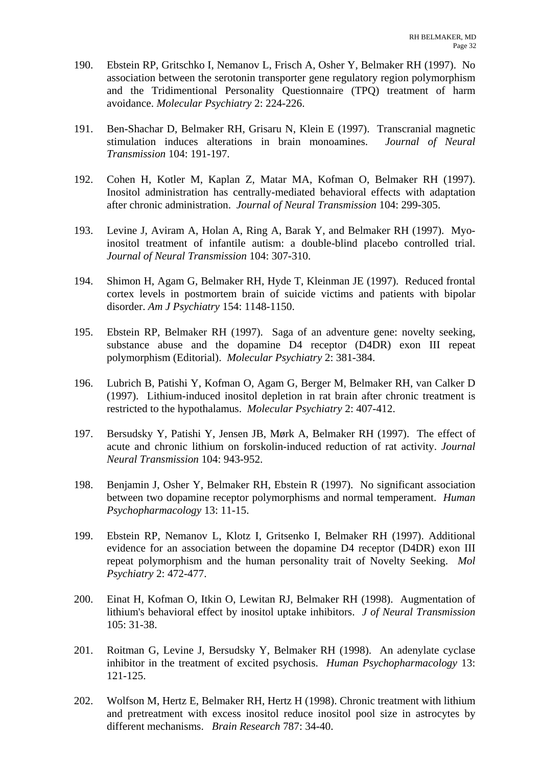- 190. Ebstein RP, Gritschko I, Nemanov L, Frisch A, Osher Y, Belmaker RH (1997). No association between the serotonin transporter gene regulatory region polymorphism and the Tridimentional Personality Questionnaire (TPQ) treatment of harm avoidance. *Molecular Psychiatry* 2: 224-226.
- 191. Ben-Shachar D, Belmaker RH, Grisaru N, Klein E (1997). Transcranial magnetic stimulation induces alterations in brain monoamines. *Journal of Neural Transmission* 104: 191-197.
- 192. Cohen H, Kotler M, Kaplan Z, Matar MA, Kofman O, Belmaker RH (1997). Inositol administration has centrally-mediated behavioral effects with adaptation after chronic administration. *Journal of Neural Transmission* 104: 299-305.
- 193. Levine J, Aviram A, Holan A, Ring A, Barak Y, and Belmaker RH (1997). Myoinositol treatment of infantile autism: a double-blind placebo controlled trial. *Journal of Neural Transmission* 104: 307-310.
- 194. Shimon H, Agam G, Belmaker RH, Hyde T, Kleinman JE (1997). Reduced frontal cortex levels in postmortem brain of suicide victims and patients with bipolar disorder. *Am J Psychiatry* 154: 1148-1150.
- 195. Ebstein RP, Belmaker RH (1997). Saga of an adventure gene: novelty seeking, substance abuse and the dopamine D4 receptor (D4DR) exon III repeat polymorphism (Editorial). *Molecular Psychiatry* 2: 381-384.
- 196. Lubrich B, Patishi Y, Kofman O, Agam G, Berger M, Belmaker RH, van Calker D (1997). Lithium-induced inositol depletion in rat brain after chronic treatment is restricted to the hypothalamus. *Molecular Psychiatry* 2: 407-412.
- 197. Bersudsky Y, Patishi Y, Jensen JB, Mørk A, Belmaker RH (1997). The effect of acute and chronic lithium on forskolin-induced reduction of rat activity. *Journal Neural Transmission* 104: 943-952.
- 198. Benjamin J, Osher Y, Belmaker RH, Ebstein R (1997). No significant association between two dopamine receptor polymorphisms and normal temperament. *Human Psychopharmacology* 13: 11-15.
- 199. Ebstein RP, Nemanov L, Klotz I, Gritsenko I, Belmaker RH (1997). Additional evidence for an association between the dopamine D4 receptor (D4DR) exon III repeat polymorphism and the human personality trait of Novelty Seeking. *Mol Psychiatry* 2: 472-477.
- 200. Einat H, Kofman O, Itkin O, Lewitan RJ, Belmaker RH (1998). Augmentation of lithium's behavioral effect by inositol uptake inhibitors. *J of Neural Transmission* 105: 31-38.
- 201. Roitman G, Levine J, Bersudsky Y, Belmaker RH (1998). An adenylate cyclase inhibitor in the treatment of excited psychosis. *Human Psychopharmacology* 13: 121-125.
- 202. Wolfson M, Hertz E, Belmaker RH, Hertz H (1998). Chronic treatment with lithium and pretreatment with excess inositol reduce inositol pool size in astrocytes by different mechanisms. *Brain Research* 787: 34-40.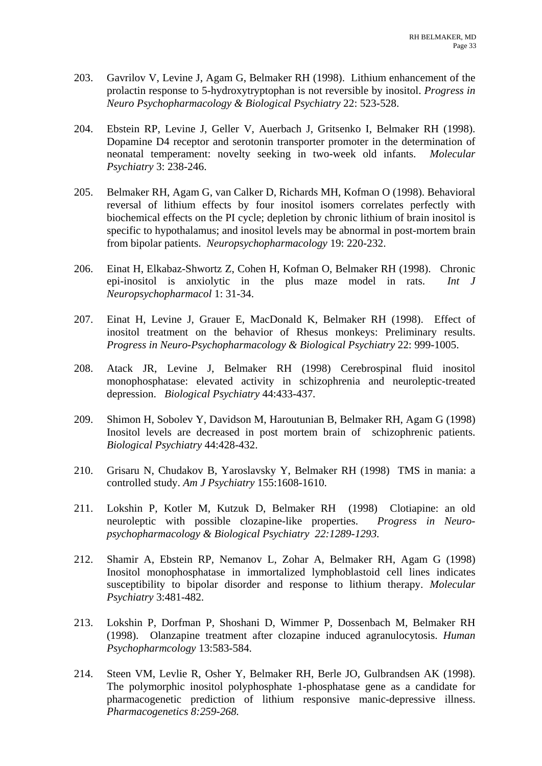- 203. Gavrilov V, Levine J, Agam G, Belmaker RH (1998). Lithium enhancement of the prolactin response to 5-hydroxytryptophan is not reversible by inositol. *Progress in Neuro Psychopharmacology & Biological Psychiatry* 22: 523-528.
- 204. Ebstein RP, Levine J, Geller V, Auerbach J, Gritsenko I, Belmaker RH (1998). Dopamine D4 receptor and serotonin transporter promoter in the determination of neonatal temperament: novelty seeking in two-week old infants. *Molecular Psychiatry* 3: 238-246.
- 205. Belmaker RH, Agam G, van Calker D, Richards MH, Kofman O (1998). Behavioral reversal of lithium effects by four inositol isomers correlates perfectly with biochemical effects on the PI cycle; depletion by chronic lithium of brain inositol is specific to hypothalamus; and inositol levels may be abnormal in post-mortem brain from bipolar patients. *Neuropsychopharmacology* 19: 220-232.
- 206. Einat H, Elkabaz-Shwortz Z, Cohen H, Kofman O, Belmaker RH (1998). Chronic epi-inositol is anxiolytic in the plus maze model in rats. *Int J Neuropsychopharmacol* 1: 31-34.
- 207. Einat H, Levine J, Grauer E, MacDonald K, Belmaker RH (1998). Effect of inositol treatment on the behavior of Rhesus monkeys: Preliminary results. *Progress in Neuro-Psychopharmacology & Biological Psychiatry* 22: 999-1005.
- 208. Atack JR, Levine J, Belmaker RH (1998) Cerebrospinal fluid inositol monophosphatase: elevated activity in schizophrenia and neuroleptic-treated depression. *Biological Psychiatry* 44:433-437.
- 209. Shimon H, Sobolev Y, Davidson M, Haroutunian B, Belmaker RH, Agam G (1998) Inositol levels are decreased in post mortem brain of schizophrenic patients. *Biological Psychiatry* 44:428-432.
- 210. Grisaru N, Chudakov B, Yaroslavsky Y, Belmaker RH (1998) TMS in mania: a controlled study. *Am J Psychiatry* 155:1608-1610.
- 211. Lokshin P, Kotler M, Kutzuk D, Belmaker RH (1998) Clotiapine: an old neuroleptic with possible clozapine-like properties. *Progress in Neuropsychopharmacology & Biological Psychiatry 22:1289-1293.*
- 212. Shamir A, Ebstein RP, Nemanov L, Zohar A, Belmaker RH, Agam G (1998) Inositol monophosphatase in immortalized lymphoblastoid cell lines indicates susceptibility to bipolar disorder and response to lithium therapy. *Molecular Psychiatry* 3:481-482.
- 213. Lokshin P, Dorfman P, Shoshani D, Wimmer P, Dossenbach M, Belmaker RH (1998). Olanzapine treatment after clozapine induced agranulocytosis. *Human Psychopharmcology* 13:583-584.
- 214. Steen VM, Levlie R, Osher Y, Belmaker RH, Berle JO, Gulbrandsen AK (1998). The polymorphic inositol polyphosphate 1-phosphatase gene as a candidate for pharmacogenetic prediction of lithium responsive manic-depressive illness. *Pharmacogenetics 8:259-268.*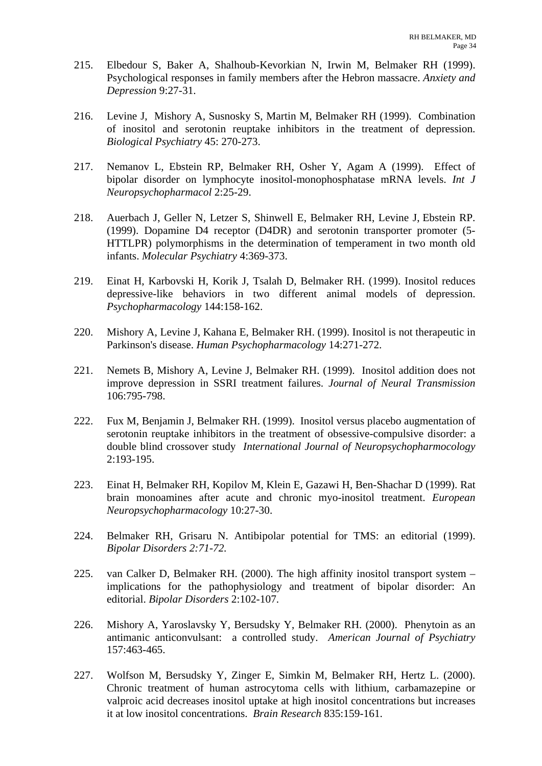- 215. Elbedour S, Baker A, Shalhoub-Kevorkian N, Irwin M, Belmaker RH (1999). Psychological responses in family members after the Hebron massacre. *Anxiety and Depression* 9:27-31.
- 216. Levine J, Mishory A, Susnosky S, Martin M, Belmaker RH (1999). Combination of inositol and serotonin reuptake inhibitors in the treatment of depression. *Biological Psychiatry* 45: 270-273.
- 217. Nemanov L, Ebstein RP, Belmaker RH, Osher Y, Agam A (1999). Effect of bipolar disorder on lymphocyte inositol-monophosphatase mRNA levels. *Int J Neuropsychopharmacol* 2:25-29.
- 218. Auerbach J, Geller N, Letzer S, Shinwell E, Belmaker RH, Levine J, Ebstein RP. (1999). Dopamine D4 receptor (D4DR) and serotonin transporter promoter (5- HTTLPR) polymorphisms in the determination of temperament in two month old infants. *Molecular Psychiatry* 4:369-373.
- 219. Einat H, Karbovski H, Korik J, Tsalah D, Belmaker RH. (1999). Inositol reduces depressive-like behaviors in two different animal models of depression. *Psychopharmacology* 144:158-162.
- 220. Mishory A, Levine J, Kahana E, Belmaker RH. (1999). Inositol is not therapeutic in Parkinson's disease. *Human Psychopharmacology* 14:271-272.
- 221. Nemets B, Mishory A, Levine J, Belmaker RH. (1999). Inositol addition does not improve depression in SSRI treatment failures. *Journal of Neural Transmission* 106:795-798.
- 222. Fux M, Benjamin J, Belmaker RH. (1999). Inositol versus placebo augmentation of serotonin reuptake inhibitors in the treatment of obsessive-compulsive disorder: a double blind crossover study *International Journal of Neuropsychopharmocology*  2:193-195.
- 223. Einat H, Belmaker RH, Kopilov M, Klein E, Gazawi H, Ben-Shachar D (1999). Rat brain monoamines after acute and chronic myo-inositol treatment. *European Neuropsychopharmacology* 10:27-30.
- 224. Belmaker RH, Grisaru N. Antibipolar potential for TMS: an editorial (1999). *Bipolar Disorders 2:71-72.*
- 225. van Calker D, Belmaker RH. (2000). The high affinity inositol transport system implications for the pathophysiology and treatment of bipolar disorder: An editorial. *Bipolar Disorders* 2:102-107.
- 226. Mishory A, Yaroslavsky Y, Bersudsky Y, Belmaker RH. (2000). Phenytoin as an antimanic anticonvulsant: a controlled study. *American Journal of Psychiatry* 157:463-465.
- 227. Wolfson M, Bersudsky Y, Zinger E, Simkin M, Belmaker RH, Hertz L. (2000). Chronic treatment of human astrocytoma cells with lithium, carbamazepine or valproic acid decreases inositol uptake at high inositol concentrations but increases it at low inositol concentrations. *Brain Research* 835:159-161.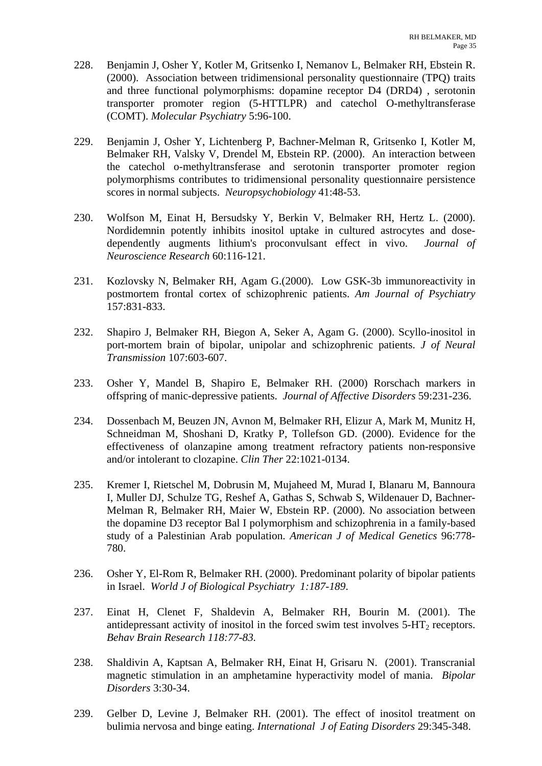- 228. Benjamin J, Osher Y, Kotler M, Gritsenko I, Nemanov L, Belmaker RH, Ebstein R. (2000). Association between tridimensional personality questionnaire (TPQ) traits and three functional polymorphisms: dopamine receptor D4 (DRD4) , serotonin transporter promoter region (5-HTTLPR) and catechol O-methyltransferase (COMT). *Molecular Psychiatry* 5:96-100.
- 229. Benjamin J, Osher Y, Lichtenberg P, Bachner-Melman R, Gritsenko I, Kotler M, Belmaker RH, Valsky V, Drendel M, Ebstein RP. (2000). An interaction between the catechol o-methyltransferase and serotonin transporter promoter region polymorphisms contributes to tridimensional personality questionnaire persistence scores in normal subjects. *Neuropsychobiology* 41:48-53.
- 230. Wolfson M, Einat H, Bersudsky Y, Berkin V, Belmaker RH, Hertz L. (2000). Nordidemnin potently inhibits inositol uptake in cultured astrocytes and dosedependently augments lithium's proconvulsant effect in vivo. *Journal of Neuroscience Research* 60:116-121.
- 231. Kozlovsky N, Belmaker RH, Agam G.(2000). Low GSK-3b immunoreactivity in postmortem frontal cortex of schizophrenic patients. *Am Journal of Psychiatry* 157:831-833.
- 232. Shapiro J, Belmaker RH, Biegon A, Seker A, Agam G. (2000). Scyllo-inositol in port-mortem brain of bipolar, unipolar and schizophrenic patients. *J of Neural Transmission* 107:603-607.
- 233. Osher Y, Mandel B, Shapiro E, Belmaker RH. (2000) Rorschach markers in offspring of manic-depressive patients. *Journal of Affective Disorders* 59:231-236.
- 234. Dossenbach M, Beuzen JN, Avnon M, Belmaker RH, Elizur A, Mark M, Munitz H, Schneidman M, Shoshani D, Kratky P, Tollefson GD. (2000). Evidence for the effectiveness of olanzapine among treatment refractory patients non-responsive and/or intolerant to clozapine. *Clin Ther* 22:1021-0134.
- 235. Kremer I, Rietschel M, Dobrusin M, Mujaheed M, Murad I, Blanaru M, Bannoura I, Muller DJ, Schulze TG, Reshef A, Gathas S, Schwab S, Wildenauer D, Bachner-Melman R, Belmaker RH, Maier W, Ebstein RP. (2000). No association between the dopamine D3 receptor Bal I polymorphism and schizophrenia in a family-based study of a Palestinian Arab population. *American J of Medical Genetics* 96:778- 780.
- 236. Osher Y, El-Rom R, Belmaker RH. (2000). Predominant polarity of bipolar patients in Israel. *World J of Biological Psychiatry 1:187-189*.
- 237. Einat H, Clenet F, Shaldevin A, Belmaker RH, Bourin M. (2001). The antidepressant activity of inositol in the forced swim test involves  $5-HT_2$  receptors. *Behav Brain Research 118:77-83.*
- 238. Shaldivin A, Kaptsan A, Belmaker RH, Einat H, Grisaru N. (2001). Transcranial magnetic stimulation in an amphetamine hyperactivity model of mania. *Bipolar Disorders* 3:30-34.
- 239. Gelber D, Levine J, Belmaker RH. (2001). The effect of inositol treatment on bulimia nervosa and binge eating. *International J of Eating Disorders* 29:345-348.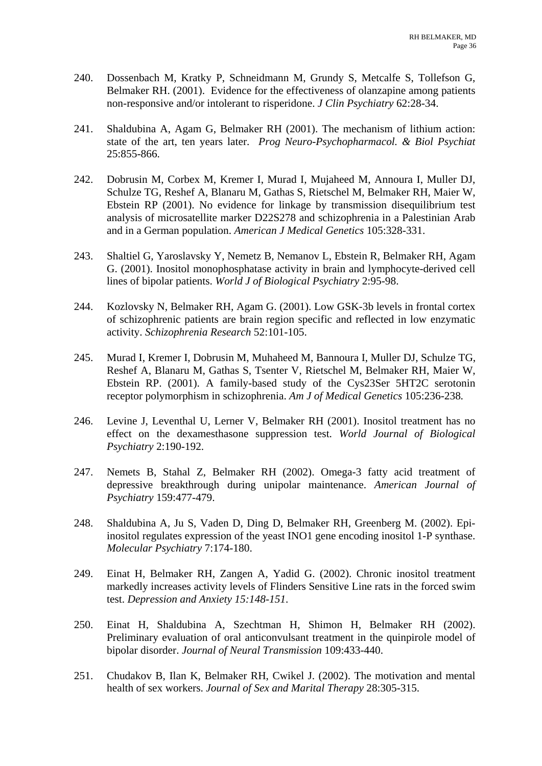- 240. Dossenbach M, Kratky P, Schneidmann M, Grundy S, Metcalfe S, Tollefson G, Belmaker RH. (2001). Evidence for the effectiveness of olanzapine among patients non-responsive and/or intolerant to risperidone. *J Clin Psychiatry* 62:28-34.
- 241. Shaldubina A, Agam G, Belmaker RH (2001). The mechanism of lithium action: state of the art, ten years later. *Prog Neuro-Psychopharmacol. & Biol Psychiat* 25:855-866.
- 242. Dobrusin M, Corbex M, Kremer I, Murad I, Mujaheed M, Annoura I, Muller DJ, Schulze TG, Reshef A, Blanaru M, Gathas S, Rietschel M, Belmaker RH, Maier W, Ebstein RP (2001). No evidence for linkage by transmission disequilibrium test analysis of microsatellite marker D22S278 and schizophrenia in a Palestinian Arab and in a German population. *American J Medical Genetics* 105:328-331.
- 243. Shaltiel G, Yaroslavsky Y, Nemetz B, Nemanov L, Ebstein R, Belmaker RH, Agam G. (2001). Inositol monophosphatase activity in brain and lymphocyte-derived cell lines of bipolar patients. *World J of Biological Psychiatry* 2:95-98.
- 244. Kozlovsky N, Belmaker RH, Agam G. (2001). Low GSK-3b levels in frontal cortex of schizophrenic patients are brain region specific and reflected in low enzymatic activity. *Schizophrenia Research* 52:101-105.
- 245. Murad I, Kremer I, Dobrusin M, Muhaheed M, Bannoura I, Muller DJ, Schulze TG, Reshef A, Blanaru M, Gathas S, Tsenter V, Rietschel M, Belmaker RH, Maier W, Ebstein RP. (2001). A family-based study of the Cys23Ser 5HT2C serotonin receptor polymorphism in schizophrenia. *Am J of Medical Genetics* 105:236-238*.*
- 246. Levine J, Leventhal U, Lerner V, Belmaker RH (2001). Inositol treatment has no effect on the dexamesthasone suppression test. *World Journal of Biological Psychiatry* 2:190-192.
- 247. Nemets B, Stahal Z, Belmaker RH (2002). Omega-3 fatty acid treatment of depressive breakthrough during unipolar maintenance. *American Journal of Psychiatry* 159:477-479.
- 248. Shaldubina A, Ju S, Vaden D, Ding D, Belmaker RH, Greenberg M. (2002). Epiinositol regulates expression of the yeast INO1 gene encoding inositol 1-P synthase. *Molecular Psychiatry* 7:174-180.
- 249. Einat H, Belmaker RH, Zangen A, Yadid G. (2002). Chronic inositol treatment markedly increases activity levels of Flinders Sensitive Line rats in the forced swim test. *Depression and Anxiety 15:148-151*.
- 250. Einat H, Shaldubina A, Szechtman H, Shimon H, Belmaker RH (2002). Preliminary evaluation of oral anticonvulsant treatment in the quinpirole model of bipolar disorder. *Journal of Neural Transmission* 109:433-440.
- 251. Chudakov B, Ilan K, Belmaker RH, Cwikel J. (2002). The motivation and mental health of sex workers. *Journal of Sex and Marital Therapy* 28:305-315.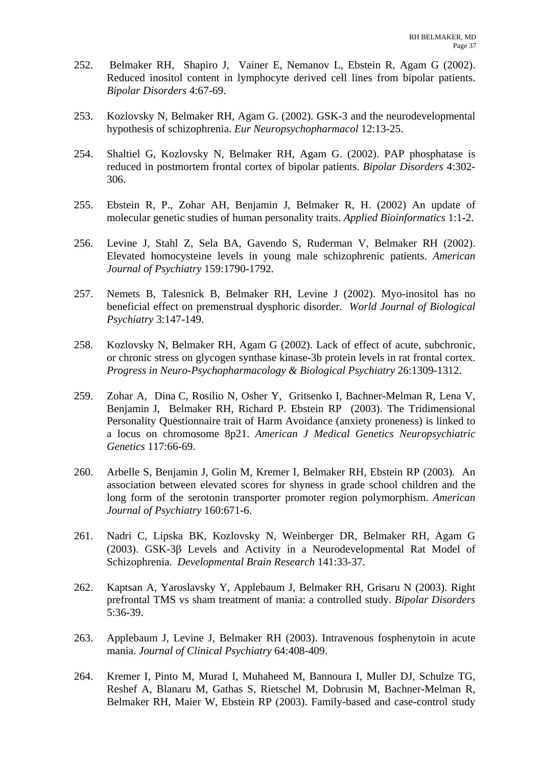- 252. Belmaker RH, Shapiro J, Vainer E, Nemanov L, Ebstein R, Agam G (2002). Reduced inositol content in lymphocyte derived cell lines from bipolar patients. *Bipolar Disorders* 4:67-69.
- 253. Kozlovsky N, Belmaker RH, Agam G. (2002). GSK-3 and the neurodevelopmental hypothesis of schizophrenia. *Eur Neuropsychopharmacol* 12:13-25.
- 254. Shaltiel G, Kozlovsky N, Belmaker RH, Agam G. (2002). PAP phosphatase is reduced in postmortem frontal cortex of bipolar patients. *Bipolar Disorders* 4:302- 306.
- 255. Ebstein R, P., Zohar AH, Benjamin J, Belmaker R, H. (2002) An update of molecular genetic studies of human personality traits. *Applied Bioinformatics* 1:1-2.
- 256. Levine J, Stahl Z, Sela BA, Gavendo S, Ruderman V, Belmaker RH (2002). Elevated homocysteine levels in young male schizophrenic patients. *American Journal of Psychiatry* 159:1790-1792.
- 257. Nemets B, Talesnick B, Belmaker RH, Levine J (2002). Myo-inositol has no beneficial effect on premenstrual dysphoric disorder. *World Journal of Biological Psychiatry* 3:147-149.
- 258. Kozlovsky N, Belmaker RH, Agam G (2002). Lack of effect of acute, subchronic, or chronic stress on glycogen synthase kinase-3b protein levels in rat frontal cortex. *Progress in Neuro-Psychopharmacology & Biological Psychiatry* 26:1309-1312.
- 259. Zohar A, Dina C, Rosilio N, Osher Y, Gritsenko I, Bachner-Melman R, Lena V, Benjamin J, Belmaker RH, Richard P. Ebstein RP (2003). The Tridimensional Personality Questionnaire trait of Harm Avoidance (anxiety proneness) is linked to a locus on chromosome 8p21. *American J Medical Genetics Neuropsychiatric Genetics* 117:66-69.
- 260. Arbelle S, Benjamin J, Golin M, Kremer I, Belmaker RH, Ebstein RP (2003). An association between elevated scores for shyness in grade school children and the long form of the serotonin transporter promoter region polymorphism. *American Journal of Psychiatry* 160:671-6.
- 261. Nadri C, Lipska BK, Kozlovsky N, Weinberger DR, Belmaker RH, Agam G (2003). GSK-3β Levels and Activity in a Neurodevelopmental Rat Model of Schizophrenia. *Developmental Brain Research* 141:33-37.
- 262. Kaptsan A, Yaroslavsky Y, Applebaum J, Belmaker RH, Grisaru N (2003). Right prefrontal TMS vs sham treatment of mania: a controlled study. *Bipolar Disorders* 5:36-39.
- 263. Applebaum J, Levine J, Belmaker RH (2003). Intravenous fosphenytoin in acute mania. *Journal of Clinical Psychiatry* 64:408-409.
- 264. Kremer I, Pinto M, Murad I, Muhaheed M, Bannoura I, Muller DJ, Schulze TG, Reshef A, Blanaru M, Gathas S, Rietschel M, Dobrusin M, Bachner-Melman R, Belmaker RH, Maier W, Ebstein RP (2003). Family-based and case-control study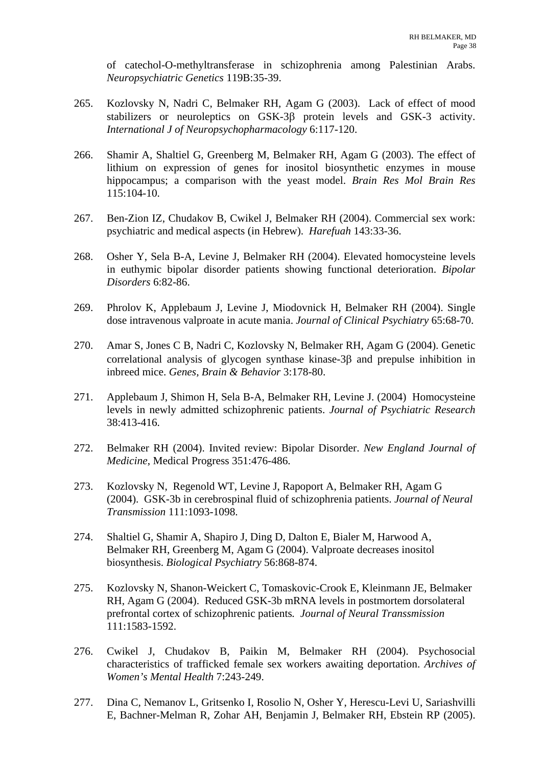of catechol-O-methyltransferase in schizophrenia among Palestinian Arabs. *Neuropsychiatric Genetics* 119B:35-39.

- 265. Kozlovsky N, Nadri C, Belmaker RH, Agam G (2003). Lack of effect of mood stabilizers or neuroleptics on GSK-3β protein levels and GSK-3 activity. *International J of Neuropsychopharmacology* 6:117-120.
- 266. Shamir A, Shaltiel G, Greenberg M, Belmaker RH, Agam G (2003). The effect of lithium on expression of genes for inositol biosynthetic enzymes in mouse hippocampus; a comparison with the yeast model. *Brain Res Mol Brain Res* 115:104-10.
- 267. Ben-Zion IZ, Chudakov B, Cwikel J, Belmaker RH (2004). Commercial sex work: psychiatric and medical aspects (in Hebrew). *Harefuah* 143:33-36.
- 268. Osher Y, Sela B-A, Levine J, Belmaker RH (2004). Elevated homocysteine levels in euthymic bipolar disorder patients showing functional deterioration. *Bipolar Disorders* 6:82-86.
- 269. Phrolov K, Applebaum J, Levine J, Miodovnick H, Belmaker RH (2004). Single dose intravenous valproate in acute mania. *Journal of Clinical Psychiatry* 65:68-70.
- 270. Amar S, Jones C B, Nadri C, Kozlovsky N, Belmaker RH, Agam G (2004). Genetic correlational analysis of glycogen synthase kinase-3β and prepulse inhibition in inbreed mice. *Genes, Brain & Behavior* 3:178-80.
- 271. Applebaum J, Shimon H, Sela B-A, Belmaker RH, Levine J. (2004) Homocysteine levels in newly admitted schizophrenic patients. *Journal of Psychiatric Research* 38:413-416.
- 272. Belmaker RH (2004). Invited review: Bipolar Disorder. *New England Journal of Medicine*, Medical Progress 351:476-486.
- 273. Kozlovsky N, Regenold WT, Levine J, Rapoport A, Belmaker RH, Agam G (2004). GSK-3b in cerebrospinal fluid of schizophrenia patients. *Journal of Neural Transmission* 111:1093-1098.
- 274. Shaltiel G, Shamir A, Shapiro J, Ding D, Dalton E, Bialer M, Harwood A, Belmaker RH, Greenberg M, Agam G (2004). Valproate decreases inositol biosynthesis. *Biological Psychiatry* 56:868-874.
- 275. Kozlovsky N, Shanon-Weickert C, Tomaskovic-Crook E, Kleinmann JE, Belmaker RH, Agam G (2004). Reduced GSK-3b mRNA levels in postmortem dorsolateral prefrontal cortex of schizophrenic patients*. Journal of Neural Transsmission* 111:1583-1592.
- 276. Cwikel J, Chudakov B, Paikin M, Belmaker RH (2004). Psychosocial characteristics of trafficked female sex workers awaiting deportation. *Archives of Women's Mental Health* 7:243-249.
- 277. Dina C, Nemanov L, Gritsenko I, Rosolio N, Osher Y, Herescu-Levi U, Sariashvilli E, Bachner-Melman R, Zohar AH, Benjamin J, Belmaker RH, Ebstein RP (2005).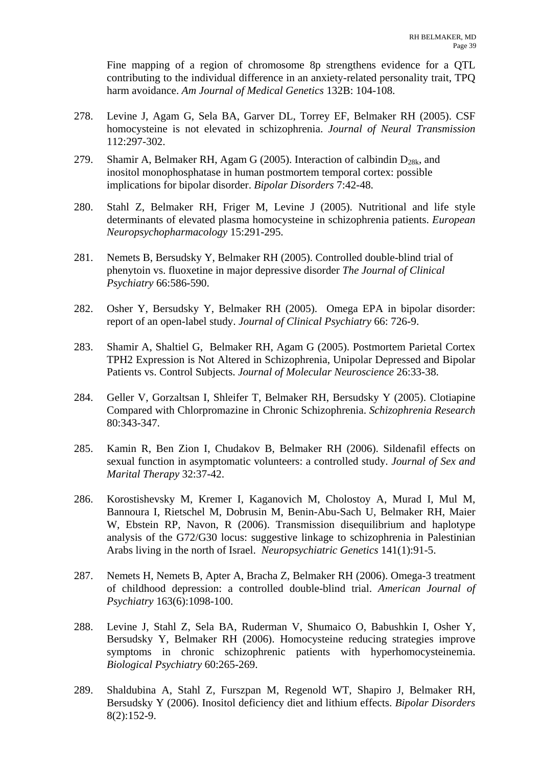Fine mapping of a region of chromosome 8p strengthens evidence for a QTL contributing to the individual difference in an anxiety-related personality trait, TPQ harm avoidance. *Am Journal of Medical Genetics* 132B: 104-108.

- 278. Levine J, Agam G, Sela BA, Garver DL, Torrey EF, Belmaker RH (2005). CSF homocysteine is not elevated in schizophrenia. *Journal of Neural Transmission* 112:297-302.
- 279. Shamir A, Belmaker RH, Agam G (2005). Interaction of calbindin  $D_{28k}$ , and inositol monophosphatase in human postmortem temporal cortex: possible implications for bipolar disorder. *Bipolar Disorders* 7:42-48.
- 280. Stahl Z, Belmaker RH, Friger M, Levine J (2005). Nutritional and life style determinants of elevated plasma homocysteine in schizophrenia patients. *European Neuropsychopharmacology* 15:291-295.
- 281. Nemets B, Bersudsky Y, Belmaker RH (2005). Controlled double-blind trial of phenytoin vs. fluoxetine in major depressive disorder *The Journal of Clinical Psychiatry* 66:586-590.
- 282. Osher Y, Bersudsky Y, Belmaker RH (2005). Omega EPA in bipolar disorder: report of an open-label study. *Journal of Clinical Psychiatry* 66: 726-9.
- 283. Shamir A, Shaltiel G, Belmaker RH, Agam G (2005). Postmortem Parietal Cortex TPH2 Expression is Not Altered in Schizophrenia, Unipolar Depressed and Bipolar Patients vs. Control Subjects. *Journal of Molecular Neuroscience* 26:33-38.
- 284. Geller V, Gorzaltsan I, Shleifer T, Belmaker RH, Bersudsky Y (2005). Clotiapine Compared with Chlorpromazine in Chronic Schizophrenia. *Schizophrenia Research* 80:343-347.
- 285. Kamin R, Ben Zion I, Chudakov B, Belmaker RH (2006). Sildenafil effects on sexual function in asymptomatic volunteers: a controlled study. *Journal of Sex and Marital Therapy* 32:37-42.
- 286. Korostishevsky M, Kremer I, Kaganovich M, Cholostoy A, Murad I, Mul M, Bannoura I, Rietschel M, Dobrusin M, Benin-Abu-Sach U, Belmaker RH, Maier W, Ebstein RP, Navon, R (2006). Transmission disequilibrium and haplotype analysis of the G72/G30 locus: suggestive linkage to schizophrenia in Palestinian Arabs living in the north of Israel. *Neuropsychiatric Genetics* 141(1):91-5.
- 287. Nemets H, Nemets B, Apter A, Bracha Z, Belmaker RH (2006). Omega-3 treatment of childhood depression: a controlled double-blind trial. *American Journal of Psychiatry* 163(6):1098-100.
- 288. Levine J, Stahl Z, Sela BA, Ruderman V, Shumaico O, Babushkin I, Osher Y, Bersudsky Y, Belmaker RH (2006). Homocysteine reducing strategies improve symptoms in chronic schizophrenic patients with hyperhomocysteinemia. *Biological Psychiatry* 60:265-269.
- 289. Shaldubina A, Stahl Z, Furszpan M, Regenold WT, Shapiro J, Belmaker RH, Bersudsky Y (2006). Inositol deficiency diet and lithium effects. *Bipolar Disorders* 8(2):152-9.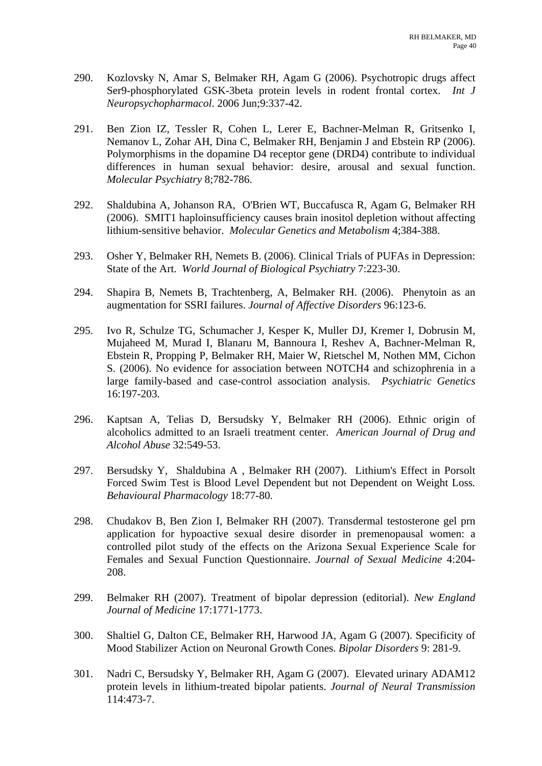- 290. Kozlovsky N, Amar S, Belmaker RH, Agam G (2006). Psychotropic drugs affect Ser9-phosphorylated GSK-3beta protein levels in rodent frontal cortex. *Int J Neuropsychopharmacol*. 2006 Jun;9:337-42.
- 291. Ben Zion IZ, Tessler R, Cohen L, Lerer E, Bachner-Melman R, Gritsenko I, Nemanov L, Zohar AH, Dina C, Belmaker RH, Benjamin J and Ebstein RP (2006). Polymorphisms in the dopamine D4 receptor gene (DRD4) contribute to individual differences in human sexual behavior: desire, arousal and sexual function. *Molecular Psychiatry* 8;782-786.
- 292. Shaldubina A, Johanson RA, O'Brien WT, Buccafusca R, Agam G, Belmaker RH (2006). SMIT1 haploinsufficiency causes brain inositol depletion without affecting lithium-sensitive behavior. *Molecular Genetics and Metabolism* 4;384-388.
- 293. Osher Y, Belmaker RH, Nemets B. (2006). Clinical Trials of PUFAs in Depression: State of the Art. *World Journal of Biological Psychiatry* 7:223-30.
- 294. Shapira B, Nemets B, Trachtenberg, A, Belmaker RH. (2006). Phenytoin as an augmentation for SSRI failures. *Journal of Affective Disorders* 96:123-6.
- 295. Ivo R, Schulze TG, Schumacher J, Kesper K, Muller DJ, Kremer I, Dobrusin M, Mujaheed M, Murad I, Blanaru M, Bannoura I, Reshev A, Bachner-Melman R, Ebstein R, Propping P, Belmaker RH, Maier W, Rietschel M, Nothen MM, Cichon S. (2006). No evidence for association between NOTCH4 and schizophrenia in a large family-based and case-control association analysis. *Psychiatric Genetics* 16:197-203.
- 296. Kaptsan A, Telias D, Bersudsky Y, Belmaker RH (2006). Ethnic origin of alcoholics admitted to an Israeli treatment center. *American Journal of Drug and Alcohol Abuse* 32:549-53.
- 297. Bersudsky Y, Shaldubina A , Belmaker RH (2007). Lithium's Effect in Porsolt Forced Swim Test is Blood Level Dependent but not Dependent on Weight Loss*. Behavioural Pharmacology* 18:77-80.
- 298. Chudakov B, Ben Zion I, Belmaker RH (2007). Transdermal testosterone gel prn application for hypoactive sexual desire disorder in premenopausal women: a controlled pilot study of the effects on the Arizona Sexual Experience Scale for Females and Sexual Function Questionnaire. *Journal of Sexual Medicine* 4:204- 208.
- 299. Belmaker RH (2007). Treatment of bipolar depression (editorial). *New England Journal of Medicine* 17:1771-1773.
- 300. Shaltiel G, Dalton CE, Belmaker RH, Harwood JA, Agam G (2007). Specificity of Mood Stabilizer Action on Neuronal Growth Cones. *Bipolar Disorders* 9: 281-9.
- 301. Nadri C, Bersudsky Y, Belmaker RH, Agam G (2007). Elevated urinary ADAM12 protein levels in lithium-treated bipolar patients. *Journal of Neural Transmission* 114:473-7.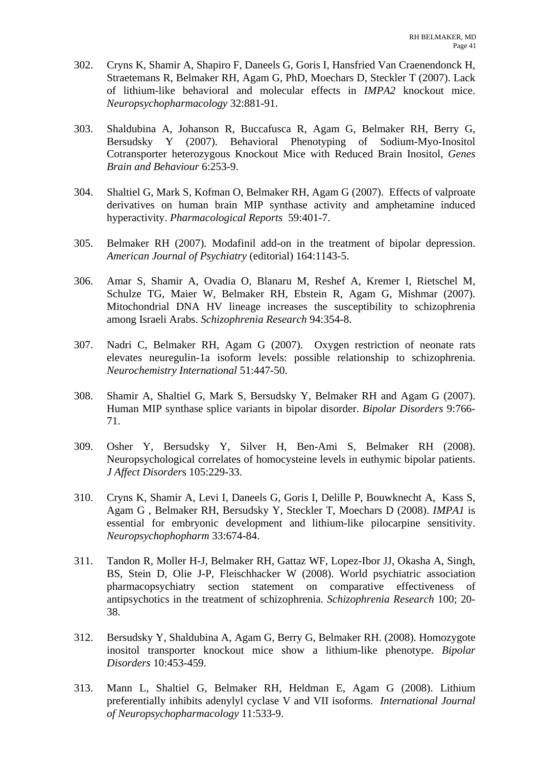- 302. Cryns K, Shamir A, Shapiro F, Daneels G, Goris I, Hansfried Van Craenendonck H, Straetemans R, Belmaker RH, Agam G, PhD, Moechars D, Steckler T (2007). Lack of lithium-like behavioral and molecular effects in *IMPA2* knockout mice. *Neuropsychopharmacology* 32:881-91.
- 303. Shaldubina A, Johanson R, Buccafusca R, Agam G, Belmaker RH, Berry G, Bersudsky Y (2007). Behavioral Phenotyping of Sodium-Myo-Inositol Cotransporter heterozygous Knockout Mice with Reduced Brain Inositol, *Genes Brain and Behaviour* 6:253-9.
- 304. Shaltiel G, Mark S, Kofman O, Belmaker RH, Agam G (2007). Effects of valproate derivatives on human brain MIP synthase activity and amphetamine induced hyperactivity. *Pharmacological Reports* 59:401-7.
- 305. Belmaker RH (2007). Modafinil add-on in the treatment of bipolar depression. *American Journal of Psychiatry* (editorial) 164:1143-5.
- 306. Amar S, Shamir A, Ovadia O, Blanaru M, Reshef A, Kremer I, Rietschel M, Schulze TG, Maier W, Belmaker RH, Ebstein R, Agam G, Mishmar (2007). Mitochondrial DNA HV lineage increases the susceptibility to schizophrenia among Israeli Arabs. *Schizophrenia Research* 94:354-8.
- 307. Nadri C, Belmaker RH, Agam G (2007). Oxygen restriction of neonate rats elevates neuregulin-1a isoform levels: possible relationship to schizophrenia. *Neurochemistry International* 51:447-50.
- 308. Shamir A, Shaltiel G, Mark S, Bersudsky Y, Belmaker RH and Agam G (2007). Human MIP synthase splice variants in bipolar disorder. *Bipolar Disorders* 9:766- 71.
- 309. Osher Y, Bersudsky Y, Silver H, Ben-Ami S, Belmaker RH (2008). Neuropsychological correlates of homocysteine levels in euthymic bipolar patients. *J Affect Disorder*s 105:229-33.
- 310. Cryns K, Shamir A, Levi I, Daneels G, Goris I, Delille P, Bouwknecht A, Kass S, Agam G , Belmaker RH, Bersudsky Y, Steckler T, Moechars D (2008). *IMPA1* is essential for embryonic development and lithium-like pilocarpine sensitivity. *Neuropsychophopharm* 33:674-84.
- 311. Tandon R, Moller H-J, Belmaker RH, Gattaz WF, Lopez-Ibor JJ, Okasha A, Singh, BS, Stein D, Olie J-P, Fleischhacker W (2008). World psychiatric association pharmacopsychiatry section statement on comparative effectiveness of antipsychotics in the treatment of schizophrenia. *Schizophrenia Research* 100; 20- 38.
- 312. Bersudsky Y, Shaldubina A, Agam G, Berry G, Belmaker RH. (2008). Homozygote inositol transporter knockout mice show a lithium-like phenotype. *Bipolar Disorders* 10:453-459.
- 313. Mann L, Shaltiel G, Belmaker RH, Heldman E, Agam G (2008). Lithium preferentially inhibits adenylyl cyclase V and VII isoforms. *International Journal of Neuropsychopharmacology* 11:533-9.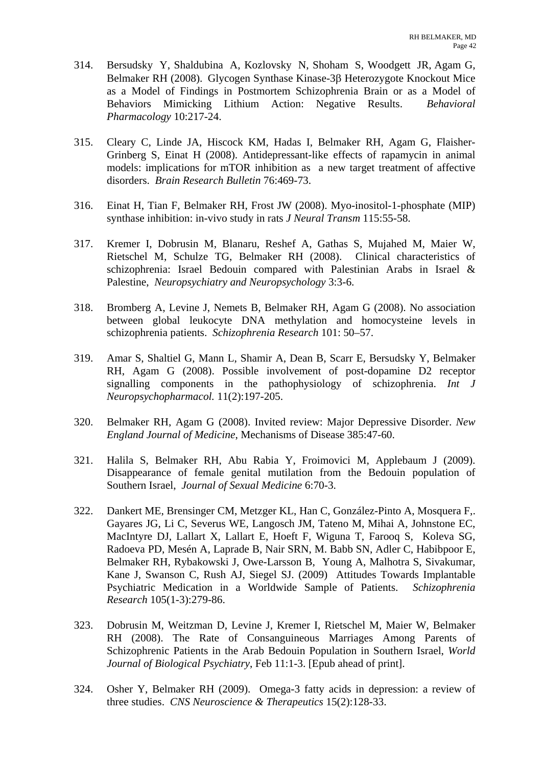- 314. Bersudsky Y, Shaldubina A, Kozlovsky N, Shoham S, Woodgett JR, Agam G, Belmaker RH (2008). Glycogen Synthase Kinase-3β Heterozygote Knockout Mice as a Model of Findings in Postmortem Schizophrenia Brain or as a Model of Behaviors Mimicking Lithium Action: Negative Results. *Behavioral Pharmacology* 10:217-24.
- 315. Cleary C, Linde JA, Hiscock KM, Hadas I, Belmaker RH, Agam G, Flaisher-Grinberg S, Einat H (2008). Antidepressant-like effects of rapamycin in animal models: implications for mTOR inhibition as a new target treatment of affective disorders. *Brain Research Bulletin* 76:469-73.
- 316. Einat H, Tian F, Belmaker RH, Frost JW (2008). Myo-inositol-1-phosphate (MIP) synthase inhibition: in-vivo study in rats *J Neural Transm* 115:55-58.
- 317. Kremer I, Dobrusin M, Blanaru, Reshef A, Gathas S, Mujahed M, Maier W, Rietschel M, Schulze TG, Belmaker RH (2008). Clinical characteristics of schizophrenia: Israel Bedouin compared with Palestinian Arabs in Israel & Palestine, *Neuropsychiatry and Neuropsychology* 3:3-6.
- 318. Bromberg A, Levine J, Nemets B, Belmaker RH, Agam G (2008). No association between global leukocyte DNA methylation and homocysteine levels in schizophrenia patients. *Schizophrenia Research* 101: 50–57.
- 319. Amar S, Shaltiel G, Mann L, Shamir A, Dean B, Scarr E, Bersudsky Y, Belmaker RH, Agam G (2008). Possible involvement of post-dopamine D2 receptor signalling components in the pathophysiology of schizophrenia. *Int J Neuropsychopharmacol.* 11(2):197-205.
- 320. Belmaker RH, Agam G (2008). Invited review: Major Depressive Disorder. *New England Journal of Medicine*, Mechanisms of Disease 385:47-60.
- 321. Halila S, Belmaker RH, Abu Rabia Y, Froimovici M, Applebaum J (2009). Disappearance of female genital mutilation from the Bedouin population of Southern Israel, *Journal of Sexual Medicine* 6:70-3.
- 322. Dankert ME, Brensinger CM, Metzger KL, Han C, González-Pinto A, Mosquera F,. Gayares JG, Li C, Severus WE, Langosch JM, Tateno M, Mihai A, Johnstone EC, MacIntyre DJ, Lallart X, Lallart E, Hoeft F, Wiguna T, Farooq S, Koleva SG, Radoeva PD, Mesén A, Laprade B, Nair SRN, M. Babb SN, Adler C, Habibpoor E, Belmaker RH, Rybakowski J, Owe-Larsson B, Young A, Malhotra S, Sivakumar, Kane J, Swanson C, Rush AJ, Siegel SJ. (2009) Attitudes Towards Implantable Psychiatric Medication in a Worldwide Sample of Patients. *Schizophrenia Research* 105(1-3):279-86.
- 323. Dobrusin M, Weitzman D, Levine J, Kremer I, Rietschel M, Maier W, Belmaker RH (2008). The Rate of Consanguineous Marriages Among Parents of Schizophrenic Patients in the Arab Bedouin Population in Southern Israel, *World Journal of Biological Psychiatry*, Feb 11:1-3. [Epub ahead of print].
- 324. Osher Y, Belmaker RH (2009). Omega-3 fatty acids in depression: a review of three studies. *CNS Neuroscience & Therapeutics* 15(2):128-33.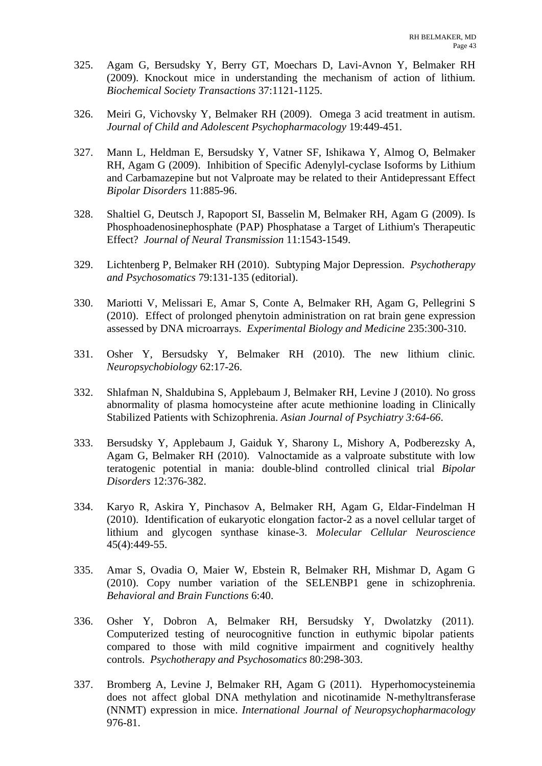- 325. Agam G, Bersudsky Y, Berry GT, Moechars D, Lavi-Avnon Y, Belmaker RH (2009). Knockout mice in understanding the mechanism of action of lithium. *Biochemical Society Transactions* 37:1121-1125.
- 326. Meiri G, Vichovsky Y, Belmaker RH (2009). Omega 3 acid treatment in autism. *Journal of Child and Adolescent Psychopharmacology* 19:449-451.
- 327. Mann L, Heldman E, Bersudsky Y, Vatner SF, Ishikawa Y, Almog O, Belmaker RH, Agam G (2009). Inhibition of Specific Adenylyl-cyclase Isoforms by Lithium and Carbamazepine but not Valproate may be related to their Antidepressant Effect *Bipolar Disorders* 11:885-96.
- 328. Shaltiel G, Deutsch J, Rapoport SI, Basselin M, Belmaker RH, Agam G (2009). Is Phosphoadenosinephosphate (PAP) Phosphatase a Target of Lithium's Therapeutic Effect? *Journal of Neural Transmission* 11:1543-1549.
- 329. Lichtenberg P, Belmaker RH (2010). Subtyping Major Depression. *Psychotherapy and Psychosomatics* 79:131-135 (editorial).
- 330. Mariotti V, Melissari E, Amar S, Conte A, Belmaker RH, Agam G, Pellegrini S (2010). Effect of prolonged phenytoin administration on rat brain gene expression assessed by DNA microarrays. *Experimental Biology and Medicine* 235:300-310.
- 331. Osher Y, Bersudsky Y, Belmaker RH (2010). The new lithium clinic*. Neuropsychobiology* 62:17-26.
- 332. Shlafman N, Shaldubina S, Applebaum J, Belmaker RH, Levine J (2010). No gross abnormality of plasma homocysteine after acute methionine loading in Clinically Stabilized Patients with Schizophrenia. *Asian Journal of Psychiatry 3:64-66*.
- 333. Bersudsky Y, Applebaum J, Gaiduk Y, Sharony L, Mishory A, Podberezsky A, Agam G, Belmaker RH (2010). Valnoctamide as a valproate substitute with low teratogenic potential in mania: double-blind controlled clinical trial *Bipolar Disorders* 12:376-382.
- 334. Karyo R, Askira Y, Pinchasov A, Belmaker RH, Agam G, Eldar-Findelman H (2010). Identification of eukaryotic elongation factor-2 as a novel cellular target of lithium and glycogen synthase kinase-3. *Molecular Cellular Neuroscience* 45(4):449-55.
- 335. Amar S, Ovadia O, Maier W, Ebstein R, Belmaker RH, Mishmar D, Agam G (2010). Copy number variation of the SELENBP1 gene in schizophrenia. *Behavioral and Brain Functions* 6:40.
- 336. Osher Y, Dobron A, Belmaker RH, Bersudsky Y, Dwolatzky (2011). Computerized testing of neurocognitive function in euthymic bipolar patients compared to those with mild cognitive impairment and cognitively healthy controls. *Psychotherapy and Psychosomatics* 80:298-303.
- 337. Bromberg A, Levine J, Belmaker RH, Agam G (2011). Hyperhomocysteinemia does not affect global DNA methylation and nicotinamide N-methyltransferase (NNMT) expression in mice. *International Journal of Neuropsychopharmacology* 976-81.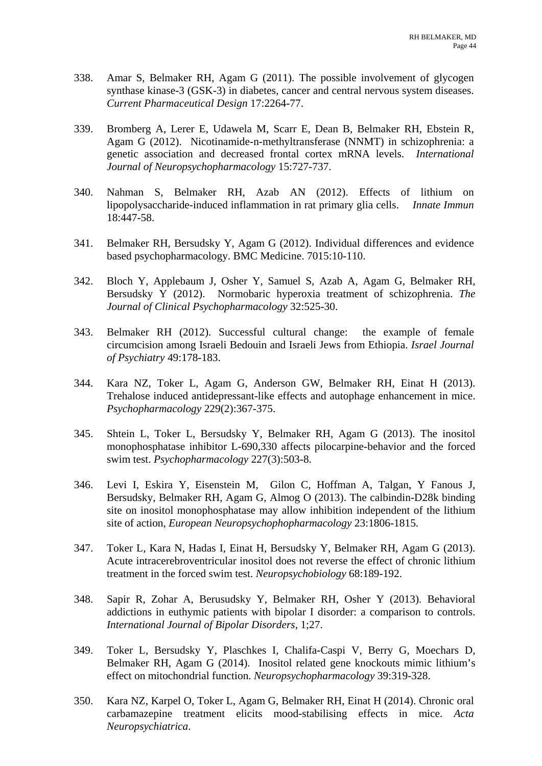- 338. Amar S, Belmaker RH, Agam G (2011). The possible involvement of glycogen synthase kinase-3 (GSK-3) in diabetes, cancer and central nervous system diseases. *Current Pharmaceutical Design* 17:2264-77.
- 339. Bromberg A, Lerer E, Udawela M, Scarr E, Dean B, Belmaker RH, Ebstein R, Agam G (2012). Nicotinamide-n-methyltransferase (NNMT) in schizophrenia: a genetic association and decreased frontal cortex mRNA levels. *International Journal of Neuropsychopharmacology* 15:727-737.
- 340. Nahman S, Belmaker RH, Azab AN (2012). Effects of lithium on lipopolysaccharide-induced inflammation in rat primary glia cells. *Innate Immun* 18:447-58.
- 341. Belmaker RH, Bersudsky Y, Agam G (2012). Individual differences and evidence based psychopharmacology. BMC Medicine. 7015:10-110.
- 342. Bloch Y, Applebaum J, Osher Y, Samuel S, Azab A, Agam G, Belmaker RH, Bersudsky Y (2012). Normobaric hyperoxia treatment of schizophrenia. *The Journal of Clinical Psychopharmacology* 32:525-30.
- 343. Belmaker RH (2012). Successful cultural change: the example of female circumcision among Israeli Bedouin and Israeli Jews from Ethiopia. *Israel Journal of Psychiatry* 49:178-183.
- 344. Kara NZ, Toker L, Agam G, Anderson GW, Belmaker RH, Einat H (2013). Trehalose induced antidepressant-like effects and autophage enhancement in mice. *Psychopharmacology* 229(2):367-375.
- 345. Shtein L, Toker L, Bersudsky Y, Belmaker RH, Agam G (2013). The inositol monophosphatase inhibitor L-690,330 affects pilocarpine-behavior and the forced swim test. *Psychopharmacology* 227(3):503-8.
- 346. Levi I, Eskira Y, Eisenstein M, Gilon C, Hoffman A, Talgan, Y Fanous J, Bersudsky, Belmaker RH, Agam G, Almog O (2013). The calbindin-D28k binding site on inositol monophosphatase may allow inhibition independent of the lithium site of action, *European Neuropsychophopharmacology* 23:1806-1815.
- 347. Toker L, Kara N, Hadas I, Einat H, Bersudsky Y, Belmaker RH, Agam G (2013). Acute intracerebroventricular inositol does not reverse the effect of chronic lithium treatment in the forced swim test. *Neuropsychobiology* 68:189-192.
- 348. Sapir R, Zohar A, Berusudsky Y, Belmaker RH, Osher Y (2013). Behavioral addictions in euthymic patients with bipolar I disorder: a comparison to controls. *International Journal of Bipolar Disorders*, 1;27.
- 349. Toker L, Bersudsky Y, Plaschkes I, Chalifa-Caspi V, Berry G, Moechars D, Belmaker RH, Agam G (2014). Inositol related gene knockouts mimic lithium's effect on mitochondrial function. *Neuropsychopharmacology* 39:319-328.
- 350. Kara NZ, Karpel O, Toker L, Agam G, Belmaker RH, Einat H (2014). Chronic oral carbamazepine treatment elicits mood-stabilising effects in mice. *Acta Neuropsychiatrica*.